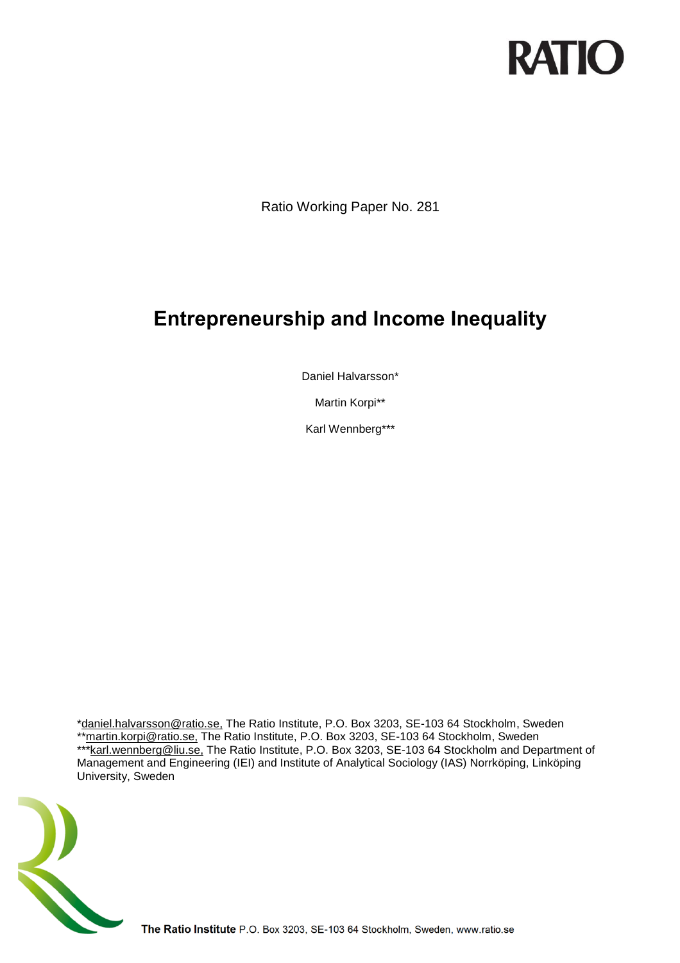# **RATIO**

Ratio Working Paper No. 281

## **Entrepreneurship and Income Inequality**

Daniel Halvarsson\*

Martin Korpi\*\*

Karl Wennberg\*\*\*

[\\*daniel.halvarsson@ratio.se,](mailto:daniel.halvarsson@ratio.se) The Ratio Institute, P.O. Box 3203, SE-103 64 Stockholm, Sweden \*[\\*martin.korpi@ratio.se,](mailto:martin.korpi@ratio.se) The Ratio Institute, P.O. Box 3203, SE-103 64 Stockholm, Sweden **EXAMPLE RATIONS CONSULTS:** The Ratio Institute, P.O. Box 3203, SE-103 64 Stockholm and Department of Management and Engineering (IEI) and Institute of Analytical Sociology (IAS) Norrköping, Linköping University, Sweden



The Ratio Institute P.O. Box 3203, SE-103 64 Stockholm, Sweden, www.ratio.se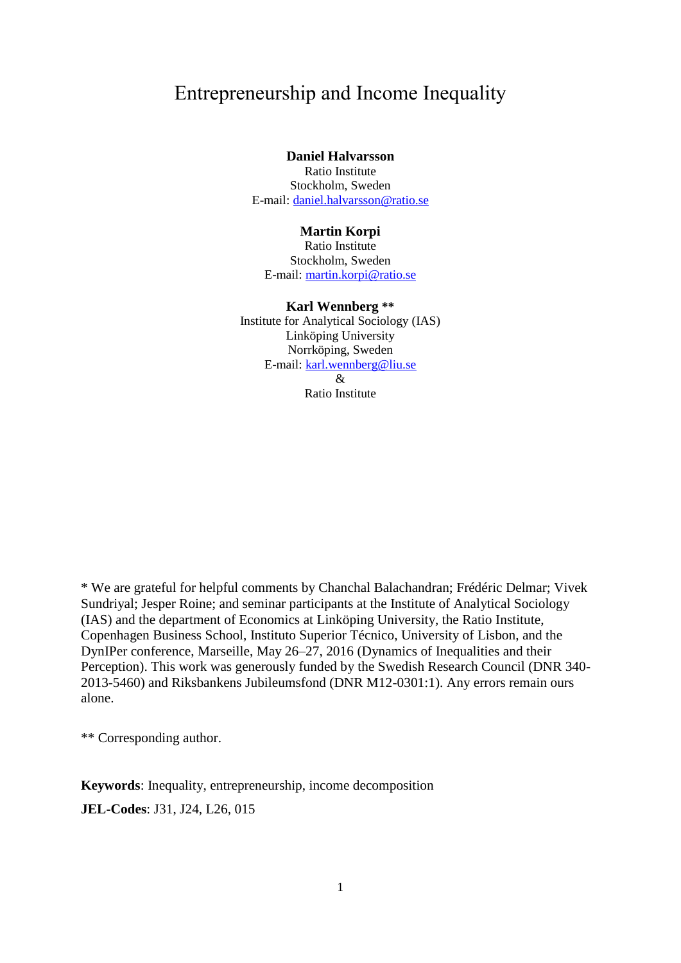### Entrepreneurship and Income Inequality

### **Daniel Halvarsson**

Ratio Institute Stockholm, Sweden E-mail: [daniel.halvarsson@ratio.se](mailto:daniel.halvarsson@ratio.se)

### **Martin Korpi**

Ratio Institute Stockholm, Sweden E-mail: [martin.korpi@ratio.se](mailto:martin.korpi@ratio.se)

### **Karl Wennberg \*\***

Institute for Analytical Sociology (IAS) Linköping University Norrköping, Sweden E-mail: [karl.wennberg@liu.se](mailto:karl.wennberg@liu.se) &

Ratio Institute

\* We are grateful for helpful comments by Chanchal Balachandran; Frédéric Delmar; Vivek Sundriyal; Jesper Roine; and seminar participants at the Institute of Analytical Sociology (IAS) and the department of Economics at Linköping University, the Ratio Institute, Copenhagen Business School, Instituto Superior Técnico, University of Lisbon, and the DynIPer conference, Marseille, May 26–27, 2016 (Dynamics of Inequalities and their Perception). This work was generously funded by the Swedish Research Council (DNR 340- 2013-5460) and Riksbankens Jubileumsfond (DNR M12-0301:1). Any errors remain ours alone.

\*\* Corresponding author.

**Keywords**: Inequality, entrepreneurship, income decomposition **JEL-Codes**: J31, J24, L26, 015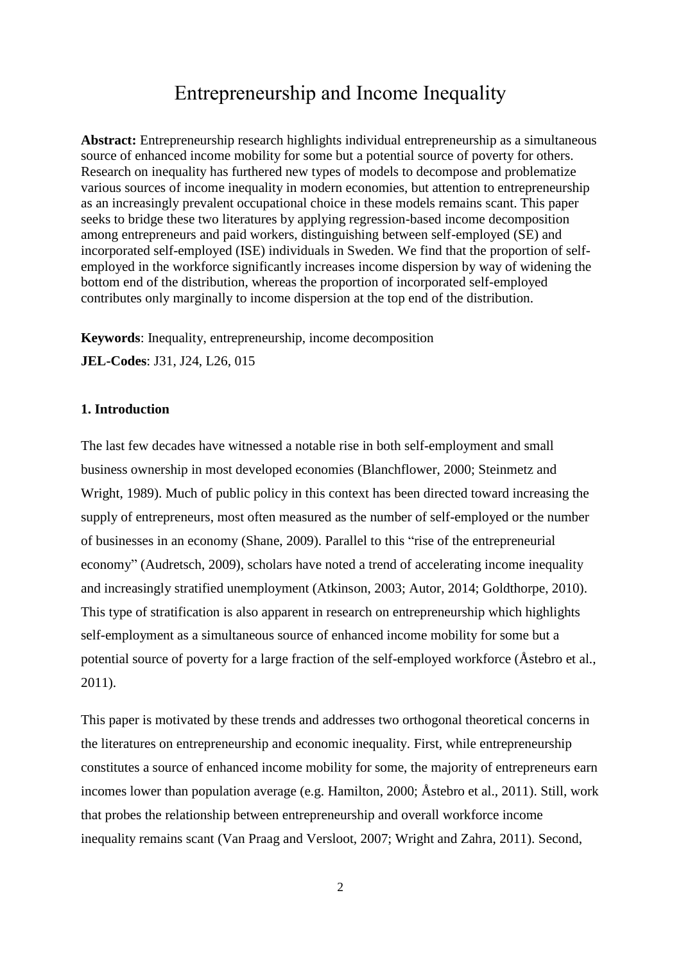### Entrepreneurship and Income Inequality

**Abstract:** Entrepreneurship research highlights individual entrepreneurship as a simultaneous source of enhanced income mobility for some but a potential source of poverty for others. Research on inequality has furthered new types of models to decompose and problematize various sources of income inequality in modern economies, but attention to entrepreneurship as an increasingly prevalent occupational choice in these models remains scant. This paper seeks to bridge these two literatures by applying regression-based income decomposition among entrepreneurs and paid workers, distinguishing between self-employed (SE) and incorporated self-employed (ISE) individuals in Sweden. We find that the proportion of selfemployed in the workforce significantly increases income dispersion by way of widening the bottom end of the distribution, whereas the proportion of incorporated self-employed contributes only marginally to income dispersion at the top end of the distribution.

**Keywords**: Inequality, entrepreneurship, income decomposition **JEL-Codes**: J31, J24, L26, 015

### **1. Introduction**

The last few decades have witnessed a notable rise in both self-employment and small business ownership in most developed economies (Blanchflower, 2000; Steinmetz and Wright, 1989). Much of public policy in this context has been directed toward increasing the supply of entrepreneurs, most often measured as the number of self-employed or the number of businesses in an economy (Shane, 2009). Parallel to this "rise of the entrepreneurial economy" (Audretsch, 2009), scholars have noted a trend of accelerating income inequality and increasingly stratified unemployment (Atkinson, 2003; Autor, 2014; Goldthorpe, 2010). This type of stratification is also apparent in research on entrepreneurship which highlights self-employment as a simultaneous source of enhanced income mobility for some but a potential source of poverty for a large fraction of the self-employed workforce (Åstebro et al., 2011).

This paper is motivated by these trends and addresses two orthogonal theoretical concerns in the literatures on entrepreneurship and economic inequality. First, while entrepreneurship constitutes a source of enhanced income mobility for some, the majority of entrepreneurs earn incomes lower than population average (e.g. Hamilton, 2000; Åstebro et al., 2011). Still, work that probes the relationship between entrepreneurship and overall workforce income inequality remains scant (Van Praag and Versloot, 2007; Wright and Zahra, 2011). Second,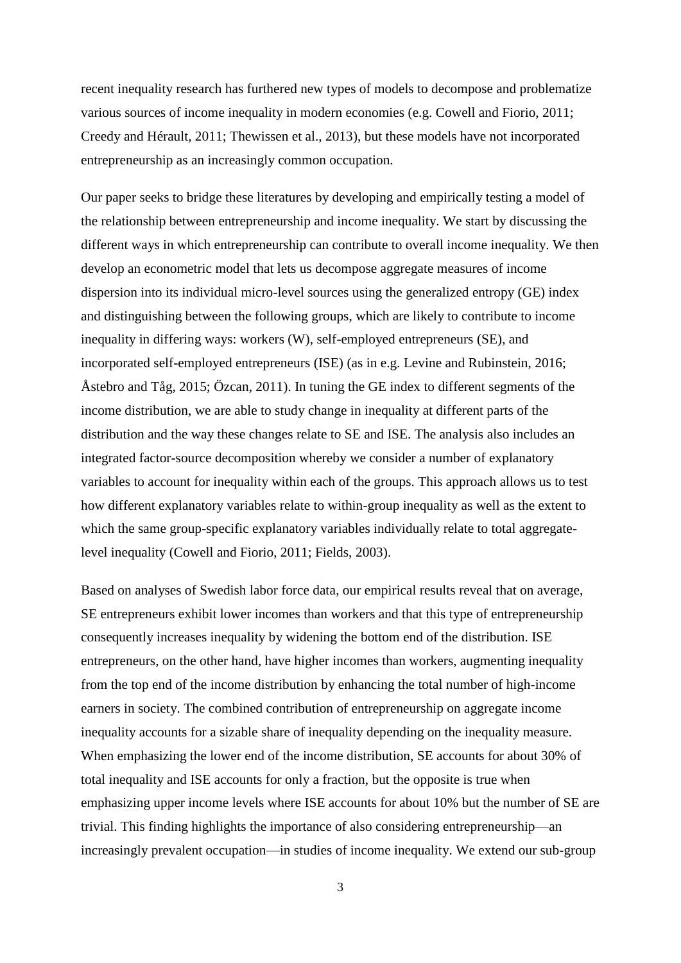recent inequality research has furthered new types of models to decompose and problematize various sources of income inequality in modern economies (e.g. Cowell and Fiorio, 2011; Creedy and Hérault, 2011; Thewissen et al., 2013), but these models have not incorporated entrepreneurship as an increasingly common occupation.

Our paper seeks to bridge these literatures by developing and empirically testing a model of the relationship between entrepreneurship and income inequality. We start by discussing the different ways in which entrepreneurship can contribute to overall income inequality. We then develop an econometric model that lets us decompose aggregate measures of income dispersion into its individual micro-level sources using the generalized entropy (GE) index and distinguishing between the following groups, which are likely to contribute to income inequality in differing ways: workers (W), self-employed entrepreneurs (SE), and incorporated self-employed entrepreneurs (ISE) (as in e.g. Levine and Rubinstein, 2016; Åstebro and Tåg, 2015; Özcan, 2011). In tuning the GE index to different segments of the income distribution, we are able to study change in inequality at different parts of the distribution and the way these changes relate to SE and ISE. The analysis also includes an integrated factor-source decomposition whereby we consider a number of explanatory variables to account for inequality within each of the groups. This approach allows us to test how different explanatory variables relate to within-group inequality as well as the extent to which the same group-specific explanatory variables individually relate to total aggregatelevel inequality (Cowell and Fiorio, 2011; Fields, 2003).

Based on analyses of Swedish labor force data, our empirical results reveal that on average, SE entrepreneurs exhibit lower incomes than workers and that this type of entrepreneurship consequently increases inequality by widening the bottom end of the distribution. ISE entrepreneurs, on the other hand, have higher incomes than workers, augmenting inequality from the top end of the income distribution by enhancing the total number of high-income earners in society. The combined contribution of entrepreneurship on aggregate income inequality accounts for a sizable share of inequality depending on the inequality measure. When emphasizing the lower end of the income distribution, SE accounts for about 30% of total inequality and ISE accounts for only a fraction, but the opposite is true when emphasizing upper income levels where ISE accounts for about 10% but the number of SE are trivial. This finding highlights the importance of also considering entrepreneurship—an increasingly prevalent occupation—in studies of income inequality. We extend our sub-group

3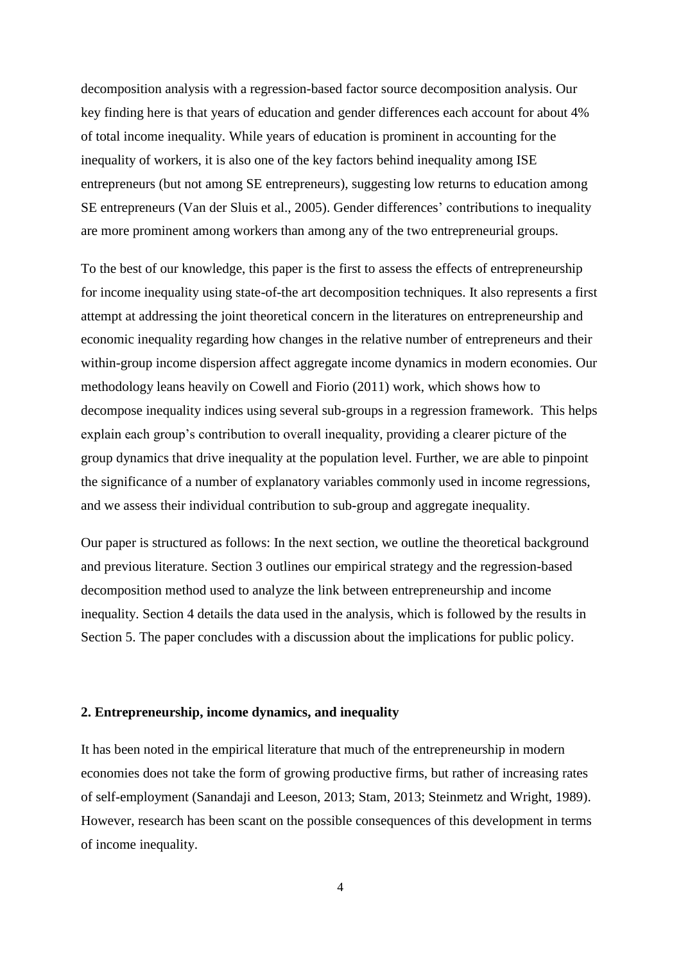decomposition analysis with a regression-based factor source decomposition analysis. Our key finding here is that years of education and gender differences each account for about 4% of total income inequality. While years of education is prominent in accounting for the inequality of workers, it is also one of the key factors behind inequality among ISE entrepreneurs (but not among SE entrepreneurs), suggesting low returns to education among SE entrepreneurs (Van der Sluis et al., 2005). Gender differences' contributions to inequality are more prominent among workers than among any of the two entrepreneurial groups.

To the best of our knowledge, this paper is the first to assess the effects of entrepreneurship for income inequality using state-of-the art decomposition techniques. It also represents a first attempt at addressing the joint theoretical concern in the literatures on entrepreneurship and economic inequality regarding how changes in the relative number of entrepreneurs and their within-group income dispersion affect aggregate income dynamics in modern economies. Our methodology leans heavily on Cowell and Fiorio (2011) work, which shows how to decompose inequality indices using several sub-groups in a regression framework. This helps explain each group's contribution to overall inequality, providing a clearer picture of the group dynamics that drive inequality at the population level. Further, we are able to pinpoint the significance of a number of explanatory variables commonly used in income regressions, and we assess their individual contribution to sub-group and aggregate inequality.

Our paper is structured as follows: In the next section, we outline the theoretical background and previous literature. Section 3 outlines our empirical strategy and the regression-based decomposition method used to analyze the link between entrepreneurship and income inequality. Section 4 details the data used in the analysis, which is followed by the results in Section 5. The paper concludes with a discussion about the implications for public policy.

### **2. Entrepreneurship, income dynamics, and inequality**

It has been noted in the empirical literature that much of the entrepreneurship in modern economies does not take the form of growing productive firms, but rather of increasing rates of self-employment (Sanandaji and Leeson, 2013; Stam, 2013; Steinmetz and Wright, 1989). However, research has been scant on the possible consequences of this development in terms of income inequality.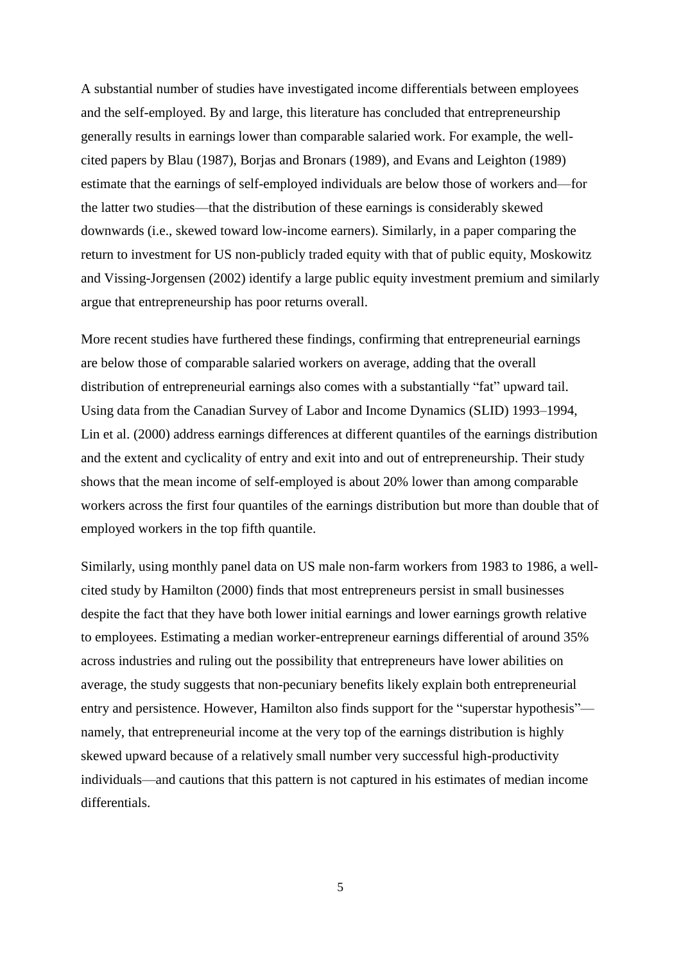A substantial number of studies have investigated income differentials between employees and the self-employed. By and large, this literature has concluded that entrepreneurship generally results in earnings lower than comparable salaried work. For example, the wellcited papers by Blau (1987), Borjas and Bronars (1989), and Evans and Leighton (1989) estimate that the earnings of self-employed individuals are below those of workers and—for the latter two studies—that the distribution of these earnings is considerably skewed downwards (i.e., skewed toward low-income earners). Similarly, in a paper comparing the return to investment for US non-publicly traded equity with that of public equity, Moskowitz and Vissing-Jorgensen (2002) identify a large public equity investment premium and similarly argue that entrepreneurship has poor returns overall.

More recent studies have furthered these findings, confirming that entrepreneurial earnings are below those of comparable salaried workers on average, adding that the overall distribution of entrepreneurial earnings also comes with a substantially "fat" upward tail. Using data from the Canadian Survey of Labor and Income Dynamics (SLID) 1993–1994, Lin et al. (2000) address earnings differences at different quantiles of the earnings distribution and the extent and cyclicality of entry and exit into and out of entrepreneurship. Their study shows that the mean income of self-employed is about 20% lower than among comparable workers across the first four quantiles of the earnings distribution but more than double that of employed workers in the top fifth quantile.

Similarly, using monthly panel data on US male non-farm workers from 1983 to 1986, a wellcited study by Hamilton (2000) finds that most entrepreneurs persist in small businesses despite the fact that they have both lower initial earnings and lower earnings growth relative to employees. Estimating a median worker-entrepreneur earnings differential of around 35% across industries and ruling out the possibility that entrepreneurs have lower abilities on average, the study suggests that non-pecuniary benefits likely explain both entrepreneurial entry and persistence. However, Hamilton also finds support for the "superstar hypothesis" namely, that entrepreneurial income at the very top of the earnings distribution is highly skewed upward because of a relatively small number very successful high-productivity individuals—and cautions that this pattern is not captured in his estimates of median income differentials.

5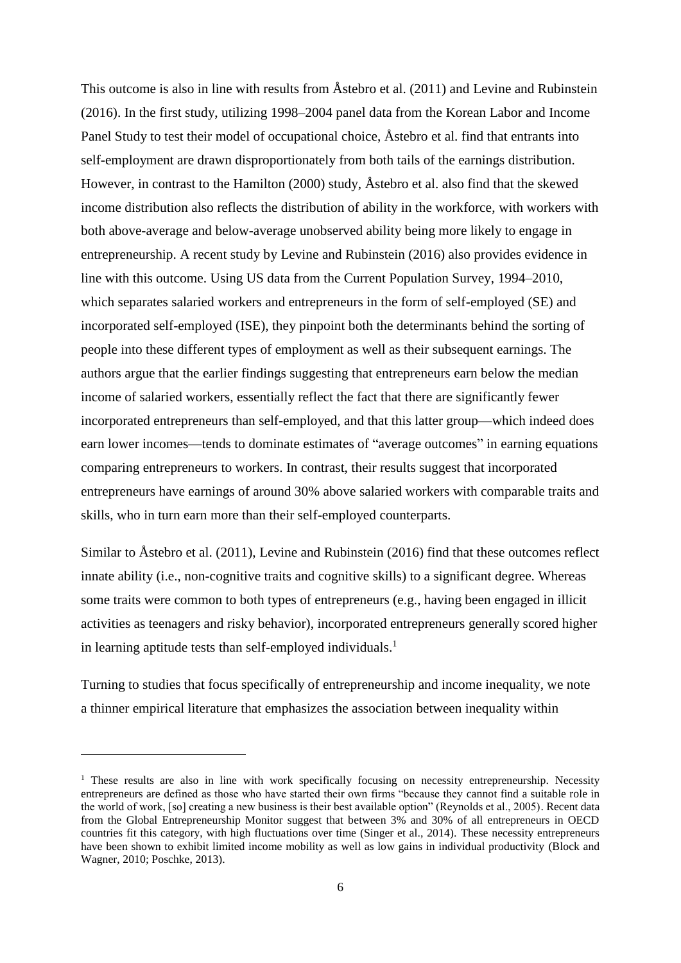This outcome is also in line with results from Åstebro et al. (2011) and Levine and Rubinstein (2016). In the first study, utilizing 1998–2004 panel data from the Korean Labor and Income Panel Study to test their model of occupational choice, Åstebro et al. find that entrants into self-employment are drawn disproportionately from both tails of the earnings distribution. However, in contrast to the Hamilton (2000) study, Åstebro et al. also find that the skewed income distribution also reflects the distribution of ability in the workforce, with workers with both above-average and below-average unobserved ability being more likely to engage in entrepreneurship. A recent study by Levine and Rubinstein (2016) also provides evidence in line with this outcome. Using US data from the Current Population Survey, 1994–2010, which separates salaried workers and entrepreneurs in the form of self-employed (SE) and incorporated self-employed (ISE), they pinpoint both the determinants behind the sorting of people into these different types of employment as well as their subsequent earnings. The authors argue that the earlier findings suggesting that entrepreneurs earn below the median income of salaried workers, essentially reflect the fact that there are significantly fewer incorporated entrepreneurs than self-employed, and that this latter group—which indeed does earn lower incomes—tends to dominate estimates of "average outcomes" in earning equations comparing entrepreneurs to workers. In contrast, their results suggest that incorporated entrepreneurs have earnings of around 30% above salaried workers with comparable traits and skills, who in turn earn more than their self-employed counterparts.

Similar to Åstebro et al. (2011), Levine and Rubinstein (2016) find that these outcomes reflect innate ability (i.e., non-cognitive traits and cognitive skills) to a significant degree. Whereas some traits were common to both types of entrepreneurs (e.g., having been engaged in illicit activities as teenagers and risky behavior), incorporated entrepreneurs generally scored higher in learning aptitude tests than self-employed individuals.<sup>1</sup>

Turning to studies that focus specifically of entrepreneurship and income inequality, we note a thinner empirical literature that emphasizes the association between inequality within

-

<sup>&</sup>lt;sup>1</sup> These results are also in line with work specifically focusing on necessity entrepreneurship. Necessity entrepreneurs are defined as those who have started their own firms "because they cannot find a suitable role in the world of work, [so] creating a new business is their best available option" (Reynolds et al., 2005). Recent data from the Global Entrepreneurship Monitor suggest that between 3% and 30% of all entrepreneurs in OECD countries fit this category, with high fluctuations over time (Singer et al., 2014). These necessity entrepreneurs have been shown to exhibit limited income mobility as well as low gains in individual productivity (Block and Wagner, 2010; Poschke, 2013).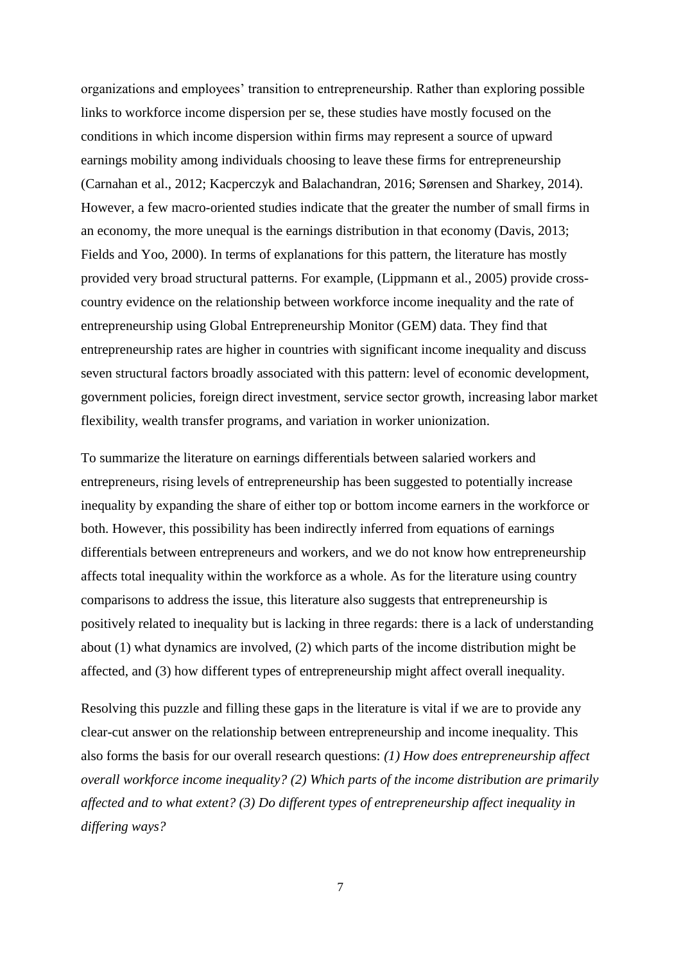organizations and employees' transition to entrepreneurship. Rather than exploring possible links to workforce income dispersion per se, these studies have mostly focused on the conditions in which income dispersion within firms may represent a source of upward earnings mobility among individuals choosing to leave these firms for entrepreneurship (Carnahan et al., 2012; Kacperczyk and Balachandran, 2016; Sørensen and Sharkey, 2014). However, a few macro-oriented studies indicate that the greater the number of small firms in an economy, the more unequal is the earnings distribution in that economy (Davis, 2013; Fields and Yoo, 2000). In terms of explanations for this pattern, the literature has mostly provided very broad structural patterns. For example, (Lippmann et al., 2005) provide crosscountry evidence on the relationship between workforce income inequality and the rate of entrepreneurship using Global Entrepreneurship Monitor (GEM) data. They find that entrepreneurship rates are higher in countries with significant income inequality and discuss seven structural factors broadly associated with this pattern: level of economic development, government policies, foreign direct investment, service sector growth, increasing labor market flexibility, wealth transfer programs, and variation in worker unionization.

To summarize the literature on earnings differentials between salaried workers and entrepreneurs, rising levels of entrepreneurship has been suggested to potentially increase inequality by expanding the share of either top or bottom income earners in the workforce or both. However, this possibility has been indirectly inferred from equations of earnings differentials between entrepreneurs and workers, and we do not know how entrepreneurship affects total inequality within the workforce as a whole. As for the literature using country comparisons to address the issue, this literature also suggests that entrepreneurship is positively related to inequality but is lacking in three regards: there is a lack of understanding about (1) what dynamics are involved, (2) which parts of the income distribution might be affected, and (3) how different types of entrepreneurship might affect overall inequality.

Resolving this puzzle and filling these gaps in the literature is vital if we are to provide any clear-cut answer on the relationship between entrepreneurship and income inequality. This also forms the basis for our overall research questions: *(1) How does entrepreneurship affect overall workforce income inequality? (2) Which parts of the income distribution are primarily affected and to what extent? (3) Do different types of entrepreneurship affect inequality in differing ways?*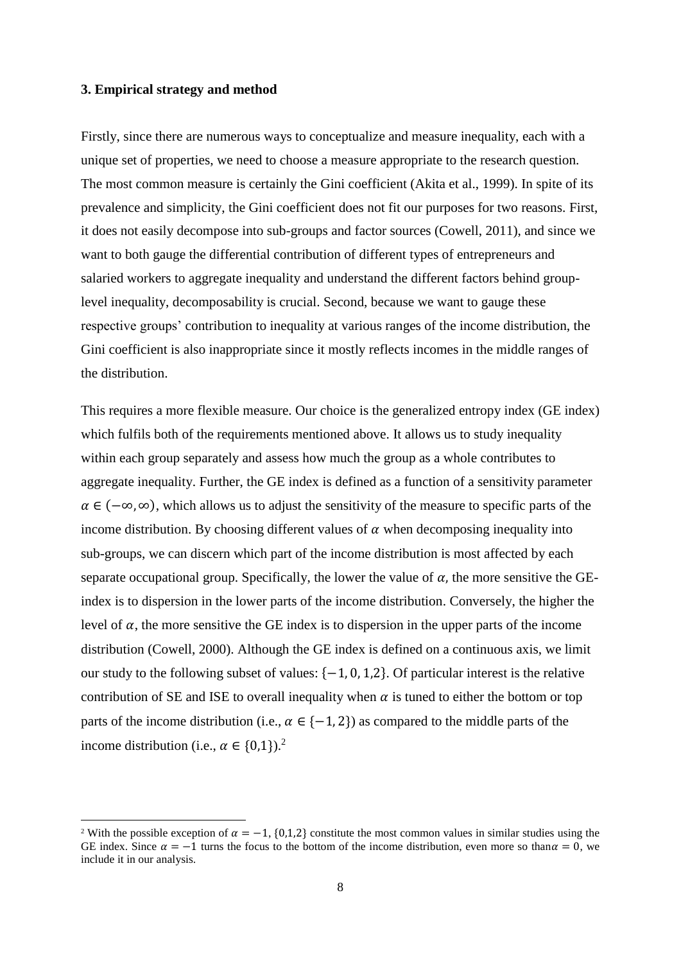### **3. Empirical strategy and method**

1

Firstly, since there are numerous ways to conceptualize and measure inequality, each with a unique set of properties, we need to choose a measure appropriate to the research question. The most common measure is certainly the Gini coefficient (Akita et al., 1999). In spite of its prevalence and simplicity, the Gini coefficient does not fit our purposes for two reasons. First, it does not easily decompose into sub-groups and factor sources (Cowell, 2011), and since we want to both gauge the differential contribution of different types of entrepreneurs and salaried workers to aggregate inequality and understand the different factors behind grouplevel inequality, decomposability is crucial. Second, because we want to gauge these respective groups' contribution to inequality at various ranges of the income distribution, the Gini coefficient is also inappropriate since it mostly reflects incomes in the middle ranges of the distribution.

This requires a more flexible measure. Our choice is the generalized entropy index (GE index) which fulfils both of the requirements mentioned above. It allows us to study inequality within each group separately and assess how much the group as a whole contributes to aggregate inequality. Further, the GE index is defined as a function of a sensitivity parameter  $\alpha \in (-\infty, \infty)$ , which allows us to adjust the sensitivity of the measure to specific parts of the income distribution. By choosing different values of  $\alpha$  when decomposing inequality into sub-groups, we can discern which part of the income distribution is most affected by each separate occupational group. Specifically, the lower the value of  $\alpha$ , the more sensitive the GEindex is to dispersion in the lower parts of the income distribution. Conversely, the higher the level of  $\alpha$ , the more sensitive the GE index is to dispersion in the upper parts of the income distribution (Cowell, 2000). Although the GE index is defined on a continuous axis, we limit our study to the following subset of values:  $\{-1, 0, 1, 2\}$ . Of particular interest is the relative contribution of SE and ISE to overall inequality when  $\alpha$  is tuned to either the bottom or top parts of the income distribution (i.e.,  $\alpha \in \{-1, 2\}$ ) as compared to the middle parts of the income distribution (i.e.,  $\alpha \in \{0,1\}$ ).<sup>2</sup>

<sup>&</sup>lt;sup>2</sup> With the possible exception of  $\alpha = -1$ , {0,1,2} constitute the most common values in similar studies using the GE index. Since  $\alpha = -1$  turns the focus to the bottom of the income distribution, even more so than  $\alpha = 0$ , we include it in our analysis.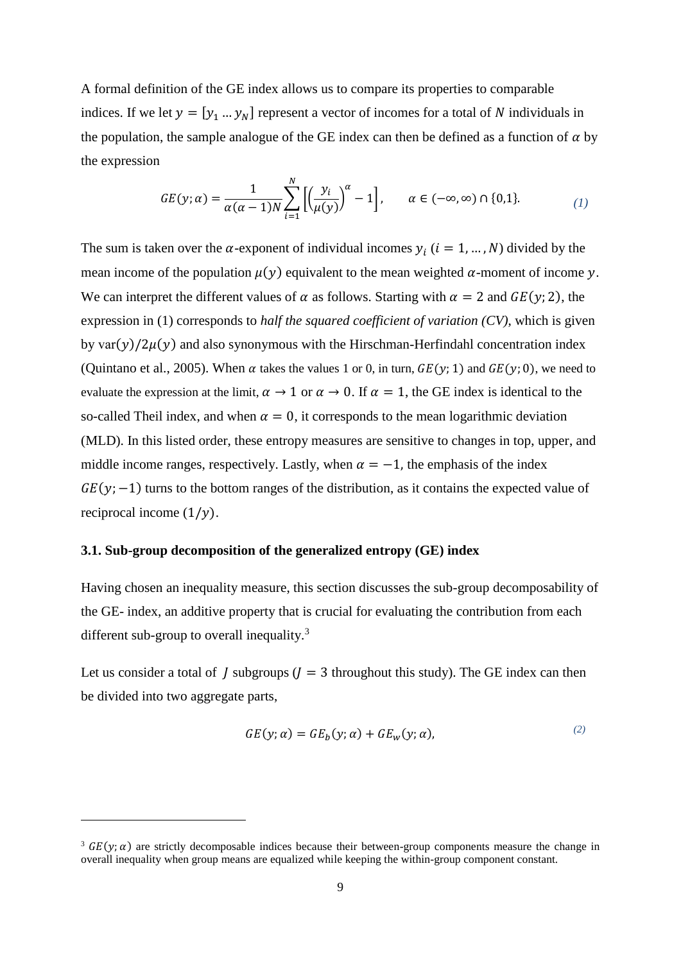A formal definition of the GE index allows us to compare its properties to comparable indices. If we let  $y = [y_1 \dots y_N]$  represent a vector of incomes for a total of N individuals in the population, the sample analogue of the GE index can then be defined as a function of  $\alpha$  by the expression

$$
GE(y; \alpha) = \frac{1}{\alpha(\alpha - 1)N} \sum_{i=1}^{N} \left[ \left( \frac{y_i}{\mu(y)} \right)^{\alpha} - 1 \right], \qquad \alpha \in (-\infty, \infty) \cap \{0, 1\}. \tag{1}
$$

The sum is taken over the  $\alpha$ -exponent of individual incomes  $y_i$  ( $i = 1, ..., N$ ) divided by the mean income of the population  $\mu(y)$  equivalent to the mean weighted  $\alpha$ -moment of income y. We can interpret the different values of  $\alpha$  as follows. Starting with  $\alpha = 2$  and  $GE(y; 2)$ , the expression in (1) corresponds to *half the squared coefficient of variation (CV)*, which is given by var $(v)/2u(v)$  and also synonymous with the Hirschman-Herfindahl concentration index (Quintano et al., 2005). When  $\alpha$  takes the values 1 or 0, in turn,  $GE(y; 1)$  and  $GE(y; 0)$ , we need to evaluate the expression at the limit,  $\alpha \to 1$  or  $\alpha \to 0$ . If  $\alpha = 1$ , the GE index is identical to the so-called Theil index, and when  $\alpha = 0$ , it corresponds to the mean logarithmic deviation (MLD). In this listed order, these entropy measures are sensitive to changes in top, upper, and middle income ranges, respectively. Lastly, when  $\alpha = -1$ , the emphasis of the index  $GE(y; -1)$  turns to the bottom ranges of the distribution, as it contains the expected value of reciprocal income  $(1/y)$ .

### **3.1. Sub-group decomposition of the generalized entropy (GE) index**

1

Having chosen an inequality measure, this section discusses the sub-group decomposability of the GE- index, an additive property that is crucial for evaluating the contribution from each different sub-group to overall inequality.<sup>3</sup>

Let us consider a total of *J* subgroups ( $J = 3$  throughout this study). The GE index can then be divided into two aggregate parts,

$$
GE(y; \alpha) = GE_b(y; \alpha) + GE_w(y; \alpha), \qquad (2)
$$

<sup>&</sup>lt;sup>3</sup>  $GE(v; \alpha)$  are strictly decomposable indices because their between-group components measure the change in overall inequality when group means are equalized while keeping the within-group component constant.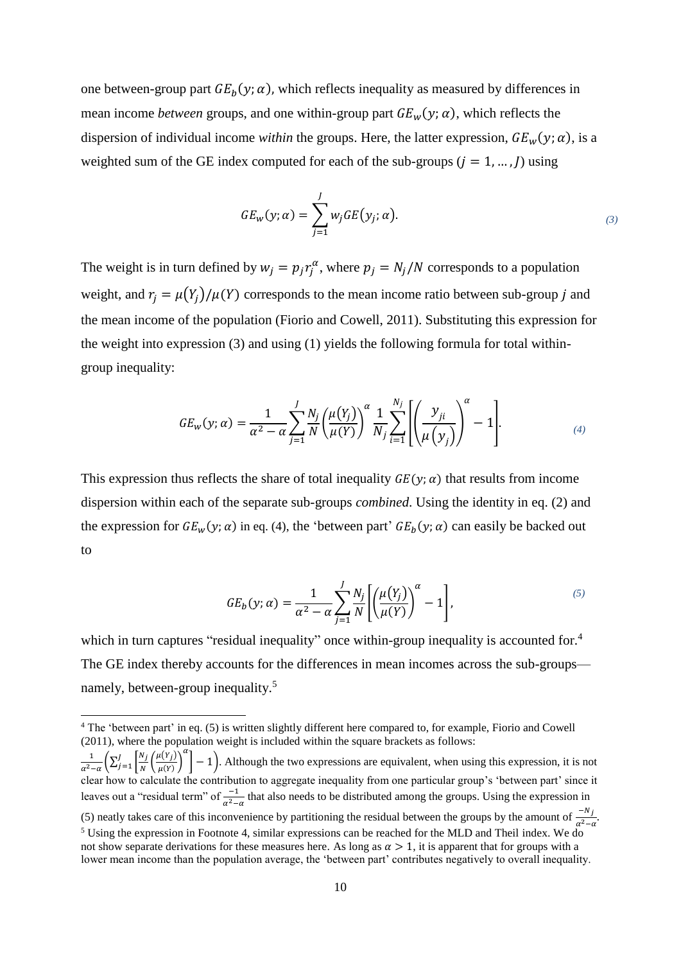one between-group part  $GE_b(y; \alpha)$ , which reflects inequality as measured by differences in mean income *between* groups, and one within-group part  $GE_w(y; \alpha)$ , which reflects the dispersion of individual income *within* the groups. Here, the latter expression,  $GE_w(y; \alpha)$ , is a weighted sum of the GE index computed for each of the sub-groups  $(j = 1, ..., J)$  using

$$
GE_w(y; \alpha) = \sum_{j=1}^{J} w_j GE(y_j; \alpha).
$$
\n(3)

The weight is in turn defined by  $w_j = p_j r_j^{\alpha}$ , where  $p_j = N_j/N$  corresponds to a population weight, and  $r_i = \mu(Y_i)/\mu(Y)$  corresponds to the mean income ratio between sub-group j and the mean income of the population (Fiorio and Cowell, 2011). Substituting this expression for the weight into expression (3) and using (1) yields the following formula for total withingroup inequality:

$$
GE_{w}(y;\alpha) = \frac{1}{\alpha^2 - \alpha} \sum_{j=1}^{J} \frac{N_j}{N} \left(\frac{\mu(Y_j)}{\mu(Y)}\right)^{\alpha} \frac{1}{N_j} \sum_{i=1}^{N_j} \left[ \left(\frac{y_{ji}}{\mu(y_j)}\right)^{\alpha} - 1 \right].
$$
 (4)

This expression thus reflects the share of total inequality  $GE(y; \alpha)$  that results from income dispersion within each of the separate sub-groups *combined*. Using the identity in eq. (2) and the expression for  $GE_w(y; \alpha)$  in eq. [\(4\),](#page-10-0) the 'between part'  $GE_b(y; \alpha)$  can easily be backed out to

<span id="page-10-0"></span>
$$
GE_b(y;\alpha) = \frac{1}{\alpha^2 - \alpha} \sum_{j=1}^{J} \frac{N_j}{N} \left[ \left( \frac{\mu(Y_j)}{\mu(Y)} \right)^{\alpha} - 1 \right],
$$
\n<sup>(5)</sup>

which in turn captures "residual inequality" once within-group inequality is accounted for.<sup>4</sup> The GE index thereby accounts for the differences in mean incomes across the sub-groups namely, between-group inequality.<sup>5</sup>

-

 $\frac{1}{\alpha^2 - \alpha} \left( \sum_{j=1}^J \left| \frac{N_j}{N} \right. \right)$  $\frac{N_j}{N} \left( \frac{\mu(Y_j)}{\mu(Y)} \right)$  $\frac{f(Y)}{\mu(Y)}$  $\frac{J}{J=1}\left|\frac{N_j}{N}\left(\frac{\mu(Y_j)}{\mu(Y)}\right)^{T}\right|-1$ . Although the two expressions are equivalent, when using this expression, it is not clear how to calculate the contribution to aggregate inequality from one particular group's 'between part' since it leaves out a "residual term" of  $\frac{-1}{\alpha^2-\alpha}$  that also needs to be distributed among the groups. Using the expression in (5) neatly takes care of this inconvenience by partitioning the residual between the groups by the amount of  $\frac{-N_j}{\alpha^2 - \alpha}$ . <sup>5</sup> Using the expression in Footnote 4, similar expressions can be reached for the MLD and Theil index. We do not show separate derivations for these measures here. As long as  $\alpha > 1$ , it is apparent that for groups with a lower mean income than the population average, the 'between part' contributes negatively to overall inequality.

<sup>4</sup> The 'between part' in eq. (5) is written slightly different here compared to, for example, Fiorio and Cowell (2011), where the population weight is included within the square brackets as follows: 1  $\alpha$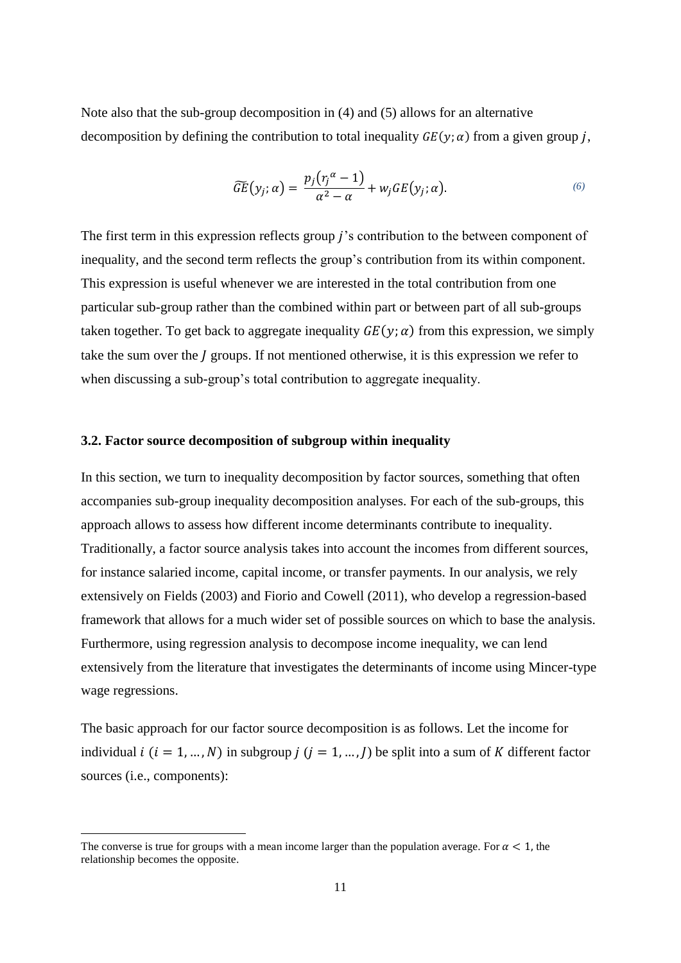Note also that the sub-group decomposition in (4) and (5) allows for an alternative decomposition by defining the contribution to total inequality  $GE(y; \alpha)$  from a given group *j*,

$$
\widetilde{GE}(y_j;\alpha) = \frac{p_j(\eta^\alpha - 1)}{\alpha^2 - \alpha} + w_jGE(y_j;\alpha). \tag{6}
$$

The first term in this expression reflects group *j*'s contribution to the between component of inequality, and the second term reflects the group's contribution from its within component. This expression is useful whenever we are interested in the total contribution from one particular sub-group rather than the combined within part or between part of all sub-groups taken together. To get back to aggregate inequality  $GE(y; \alpha)$  from this expression, we simply take the sum over the  $\tilde{I}$  groups. If not mentioned otherwise, it is this expression we refer to when discussing a sub-group's total contribution to aggregate inequality.

### **3.2. Factor source decomposition of subgroup within inequality**

In this section, we turn to inequality decomposition by factor sources, something that often accompanies sub-group inequality decomposition analyses. For each of the sub-groups, this approach allows to assess how different income determinants contribute to inequality. Traditionally, a factor source analysis takes into account the incomes from different sources, for instance salaried income, capital income, or transfer payments. In our analysis, we rely extensively on Fields (2003) and Fiorio and Cowell (2011), who develop a regression-based framework that allows for a much wider set of possible sources on which to base the analysis. Furthermore, using regression analysis to decompose income inequality, we can lend extensively from the literature that investigates the determinants of income using Mincer-type wage regressions.

The basic approach for our factor source decomposition is as follows. Let the income for individual  $i$  ( $i = 1, ..., N$ ) in subgroup  $j$  ( $j = 1, ..., J$ ) be split into a sum of K different factor sources (i.e., components):

1

The converse is true for groups with a mean income larger than the population average. For  $\alpha < 1$ , the relationship becomes the opposite.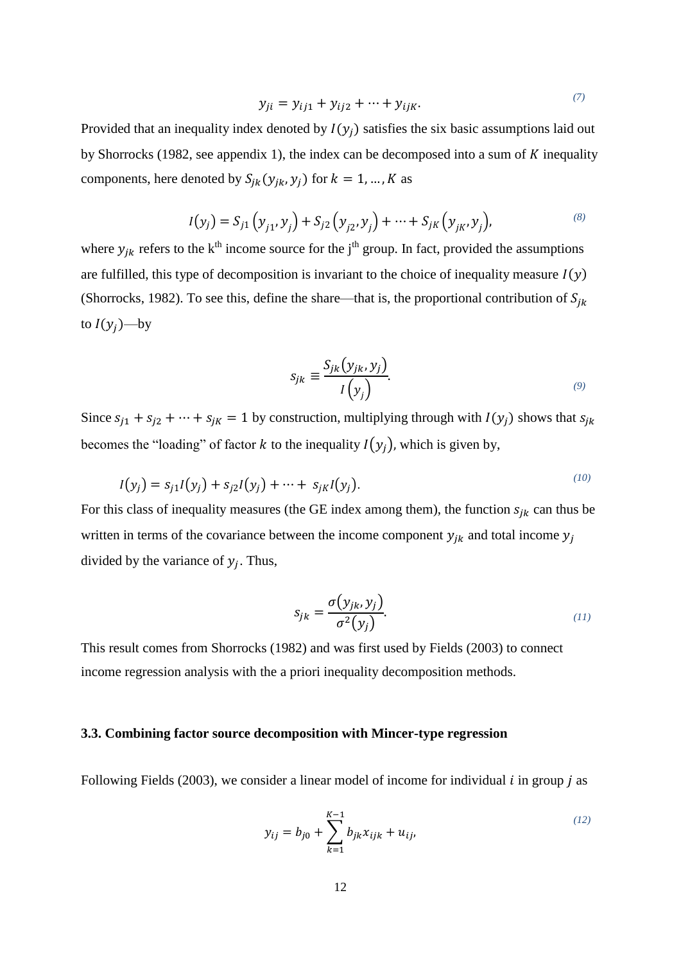<span id="page-12-0"></span>
$$
y_{ji} = y_{ij1} + y_{ij2} + \dots + y_{ijk}.
$$
 (7)

Provided that an inequality index denoted by  $I(y_i)$  satisfies the six basic assumptions laid out by Shorrocks (1982, see appendix 1), the index can be decomposed into a sum of  $K$  inequality components, here denoted by  $S_{jk}(y_{jk}, y_j)$  for  $k = 1, ..., K$  as

$$
I(y_j) = S_{j1}(y_{j1}, y_j) + S_{j2}(y_{j2}, y_j) + \dots + S_{jK}(y_{jK}, y_j),
$$
\n(8)

where  $y_{jk}$  refers to the k<sup>th</sup> income source for the j<sup>th</sup> group. In fact, provided the assumptions are fulfilled, this type of decomposition is invariant to the choice of inequality measure  $I(y)$ (Shorrocks, 1982). To see this, define the share—that is, the proportional contribution of  $S_{ik}$ to  $I(y_i)$ —by

$$
S_{jk} \equiv \frac{S_{jk}(y_{jk}, y_j)}{I(y_j)}.
$$
\n(9)

Since  $s_{i1} + s_{i2} + \cdots + s_{iK} = 1$  by construction, multiplying through with  $I(y_i)$  shows that  $s_{ik}$ becomes the "loading" of factor k to the inequality  $I(y_i)$ , which is given by,

$$
I(y_j) = s_{j1}I(y_j) + s_{j2}I(y_j) + \dots + s_{jk}I(y_j).
$$
\n(10)

For this class of inequality measures (the GE index among them), the function  $s_{ik}$  can thus be written in terms of the covariance between the income component  $y_{jk}$  and total income  $y_j$ divided by the variance of  $y_j$ . Thus,

$$
s_{jk} = \frac{\sigma(y_{jk}, y_j)}{\sigma^2(y_j)}.
$$
\n(11)

This result comes from Shorrocks (1982) and was first used by Fields (2003) to connect income regression analysis with the a priori inequality decomposition methods.

### **3.3. Combining factor source decomposition with Mincer-type regression**

Following Fields (2003), we consider a linear model of income for individual  $i$  in group  $j$  as

<span id="page-12-1"></span>
$$
y_{ij} = b_{j0} + \sum_{k=1}^{K-1} b_{jk} x_{ijk} + u_{ij},
$$
\n(12)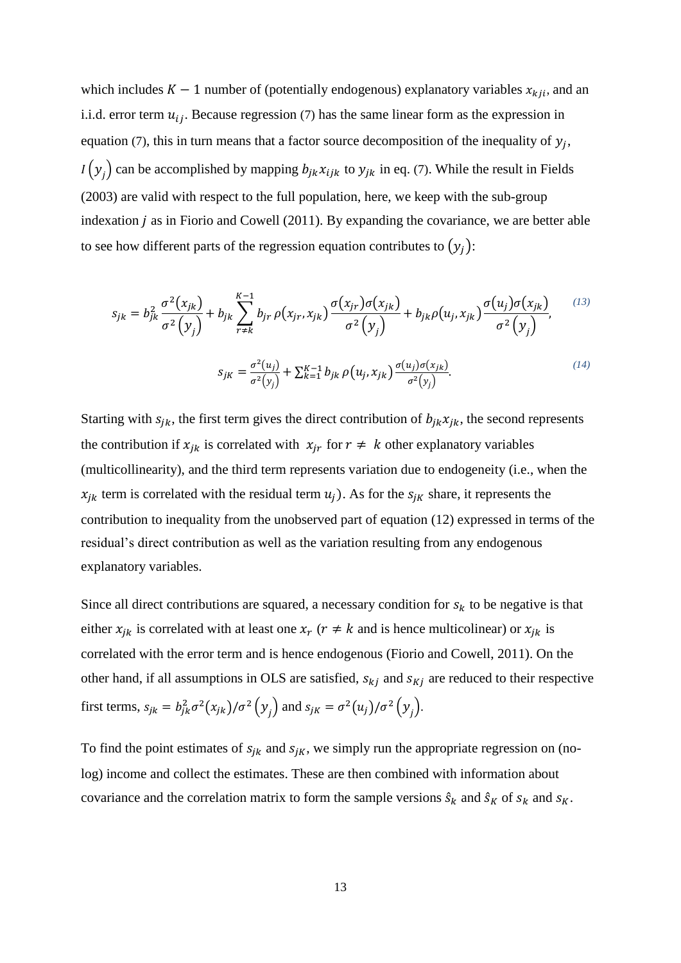which includes  $K - 1$  number of (potentially endogenous) explanatory variables  $x_{kji}$ , and an i.i.d. error term  $u_{ij}$ . Because regression [\(7\)](#page-12-0) has the same linear form as the expression in equation [\(7\)](#page-12-0), this in turn means that a factor source decomposition of the inequality of  $y_j$ ,  $I(y_j)$  can be accomplished by mapping  $b_{jk}x_{ijk}$  to  $y_{jk}$  in eq. [\(7\)](#page-12-0). While the result in Fields (2003) are valid with respect to the full population, here, we keep with the sub-group indexation  $j$  as in Fiorio and Cowell (2011). By expanding the covariance, we are better able to see how different parts of the regression equation contributes to  $(y_i)$ :

$$
s_{jk} = b_{jk}^{2} \frac{\sigma^{2}(x_{jk})}{\sigma^{2}(y_{j})} + b_{jk} \sum_{r \neq k}^{K-1} b_{jr} \rho(x_{jr}, x_{jk}) \frac{\sigma(x_{jr})\sigma(x_{jk})}{\sigma^{2}(y_{j})} + b_{jk} \rho(u_{j}, x_{jk}) \frac{\sigma(u_{j})\sigma(x_{jk})}{\sigma^{2}(y_{j})},
$$
\n
$$
s_{jk} = \frac{\sigma^{2}(u_{j})}{\sigma^{2}(y_{j})} + \sum_{k=1}^{K-1} b_{jk} \rho(u_{j}, x_{jk}) \frac{\sigma(u_{j})\sigma(x_{jk})}{\sigma^{2}(y_{j})}.
$$
\n(14)

Starting with  $s_{jk}$ , the first term gives the direct contribution of  $b_{jk}x_{jk}$ , the second represents the contribution if  $x_{ik}$  is correlated with  $x_{ir}$  for  $r \neq k$  other explanatory variables (multicollinearity), and the third term represents variation due to endogeneity (i.e., when the  $x_{ik}$  term is correlated with the residual term  $u_i$ ). As for the  $s_{ik}$  share, it represents the contribution to inequality from the unobserved part of equation [\(12\)](#page-12-1) expressed in terms of the residual's direct contribution as well as the variation resulting from any endogenous explanatory variables.

Since all direct contributions are squared, a necessary condition for  $s_k$  to be negative is that either  $x_{jk}$  is correlated with at least one  $x_r$  ( $r \neq k$  and is hence multicolinear) or  $x_{jk}$  is correlated with the error term and is hence endogenous (Fiorio and Cowell, 2011). On the other hand, if all assumptions in OLS are satisfied,  $s_{ki}$  and  $s_{Ki}$  are reduced to their respective first terms,  $s_{jk} = b_{jk}^2 \sigma^2(x_{jk})/\sigma^2(y_j)$  and  $s_{jk} = \sigma^2(u_j)/\sigma^2(y_j)$ .

To find the point estimates of  $s_{jk}$  and  $s_{jk}$ , we simply run the appropriate regression on (nolog) income and collect the estimates. These are then combined with information about covariance and the correlation matrix to form the sample versions  $\hat{s}_k$  and  $\hat{s}_k$  of  $s_k$  and  $s_k$ .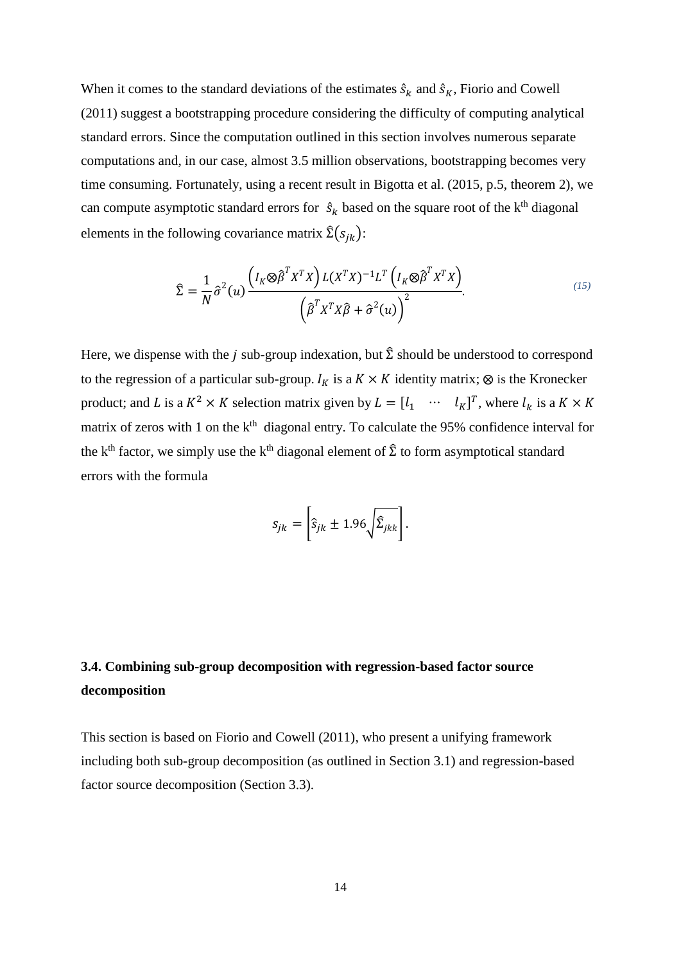When it comes to the standard deviations of the estimates  $\hat{s}_k$  and  $\hat{s}_k$ , Fiorio and Cowell (2011) suggest a bootstrapping procedure considering the difficulty of computing analytical standard errors. Since the computation outlined in this section involves numerous separate computations and, in our case, almost 3.5 million observations, bootstrapping becomes very time consuming. Fortunately, using a recent result in Bigotta et al. (2015, p.5, theorem 2), we can compute asymptotic standard errors for  $\hat{s}_k$  based on the square root of the k<sup>th</sup> diagonal elements in the following covariance matrix  $\hat{\Sigma}(s_{jk})$ :

$$
\hat{\Sigma} = \frac{1}{N} \hat{\sigma}^2(u) \frac{\left(I_K \otimes \hat{\beta}^T X^T X\right) L (X^T X)^{-1} L^T \left(I_K \otimes \hat{\beta}^T X^T X\right)}{\left(\hat{\beta}^T X^T X \hat{\beta} + \hat{\sigma}^2(u)\right)^2}.
$$
\n(15)

Here, we dispense with the *j* sub-group indexation, but  $\hat{\Sigma}$  should be understood to correspond to the regression of a particular sub-group.  $I_K$  is a  $K \times K$  identity matrix;  $\otimes$  is the Kronecker product; and L is a  $K^2 \times K$  selection matrix given by  $L = [l_1 \cdots l_K]^T$ , where  $l_k$  is a  $K \times K$ matrix of zeros with 1 on the  $k<sup>th</sup>$  diagonal entry. To calculate the 95% confidence interval for the k<sup>th</sup> factor, we simply use the k<sup>th</sup> diagonal element of  $\hat{\Sigma}$  to form asymptotical standard errors with the formula

$$
s_{jk} = \left[\hat{s}_{jk} \pm 1.96 \sqrt{\hat{\Sigma}_{jkk}}\right].
$$

### **3.4. Combining sub-group decomposition with regression-based factor source decomposition**

This section is based on Fiorio and Cowell (2011), who present a unifying framework including both sub-group decomposition (as outlined in Section 3.1) and regression-based factor source decomposition (Section 3.3).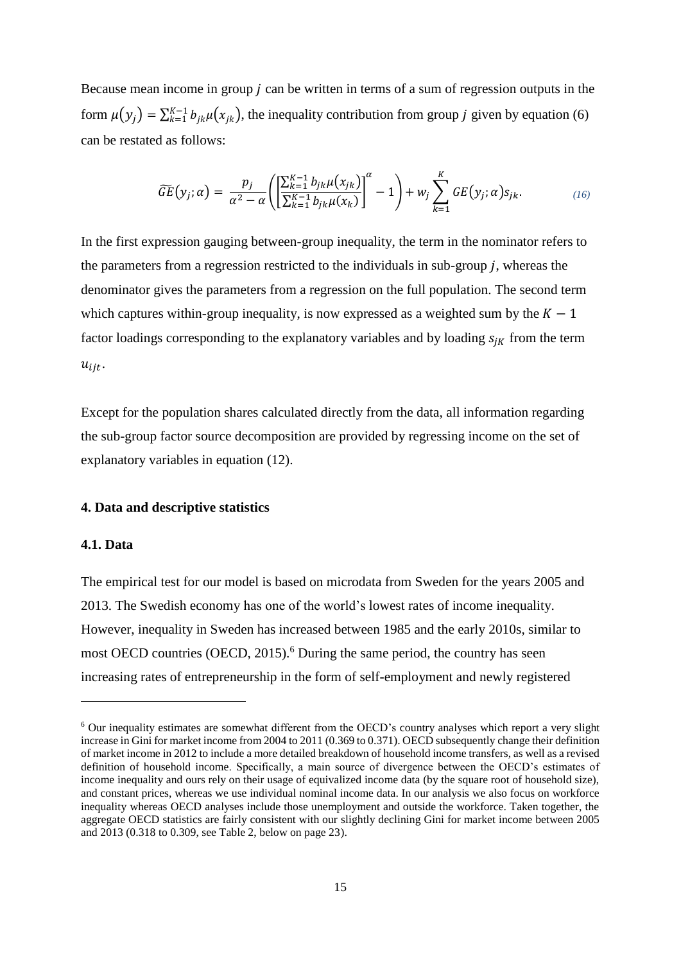Because mean income in group  $j$  can be written in terms of a sum of regression outputs in the form  $\mu(y_j) = \sum_{k=1}^{K-1} b_{jk} \mu(x_{jk})$ , the inequality contribution from group j given by equation (6) can be restated as follows:

$$
\widetilde{GE}(y_j;\alpha) = \frac{p_j}{\alpha^2 - \alpha} \left( \left[ \frac{\sum_{k=1}^{K-1} b_{jk} \mu(x_{jk})}{\sum_{k=1}^{K-1} b_{jk} \mu(x_k)} \right]^\alpha - 1 \right) + w_j \sum_{k=1}^K GE(y_j;\alpha) s_{jk}.
$$
\n(16)

In the first expression gauging between-group inequality, the term in the nominator refers to the parameters from a regression restricted to the individuals in sub-group  $j$ , whereas the denominator gives the parameters from a regression on the full population. The second term which captures within-group inequality, is now expressed as a weighted sum by the  $K - 1$ factor loadings corresponding to the explanatory variables and by loading  $s_{ik}$  from the term  $u_{\text{ij}}$ .

Except for the population shares calculated directly from the data, all information regarding the sub-group factor source decomposition are provided by regressing income on the set of explanatory variables in equation (12).

### **4. Data and descriptive statistics**

#### **4.1. Data**

1

The empirical test for our model is based on microdata from Sweden for the years 2005 and 2013. The Swedish economy has one of the world's lowest rates of income inequality. However, inequality in Sweden has increased between 1985 and the early 2010s, similar to most OECD countries (OECD,  $2015$ ).<sup>6</sup> During the same period, the country has seen increasing rates of entrepreneurship in the form of self-employment and newly registered

<sup>6</sup> Our inequality estimates are somewhat different from the OECD's country analyses which report a very slight increase in Gini for market income from 2004 to 2011 (0.369 to 0.371). OECD subsequently change their definition of market income in 2012 to include a more detailed breakdown of household income transfers, as well as a revised definition of household income. Specifically, a main source of divergence between the OECD's estimates of income inequality and ours rely on their usage of equivalized income data (by the square root of household size), and constant prices, whereas we use individual nominal income data. In our analysis we also focus on workforce inequality whereas OECD analyses include those unemployment and outside the workforce. Taken together, the aggregate OECD statistics are fairly consistent with our slightly declining Gini for market income between 2005 and 2013 (0.318 to 0.309, see Table 2, below on page 23).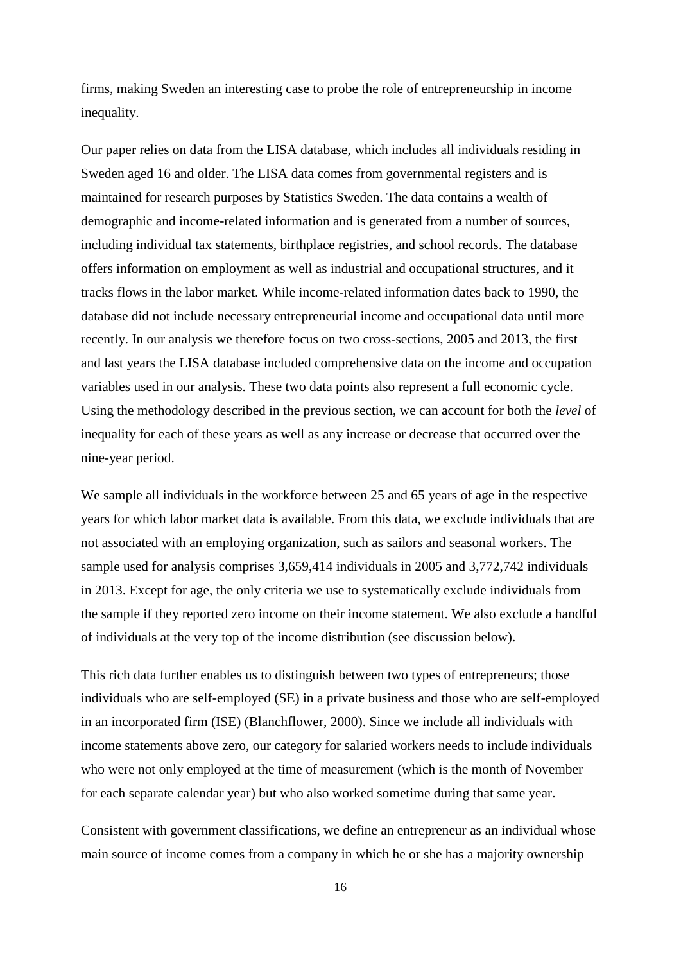firms, making Sweden an interesting case to probe the role of entrepreneurship in income inequality.

Our paper relies on data from the LISA database, which includes all individuals residing in Sweden aged 16 and older. The LISA data comes from governmental registers and is maintained for research purposes by Statistics Sweden. The data contains a wealth of demographic and income-related information and is generated from a number of sources, including individual tax statements, birthplace registries, and school records. The database offers information on employment as well as industrial and occupational structures, and it tracks flows in the labor market. While income-related information dates back to 1990, the database did not include necessary entrepreneurial income and occupational data until more recently. In our analysis we therefore focus on two cross-sections, 2005 and 2013, the first and last years the LISA database included comprehensive data on the income and occupation variables used in our analysis. These two data points also represent a full economic cycle. Using the methodology described in the previous section, we can account for both the *level* of inequality for each of these years as well as any increase or decrease that occurred over the nine-year period.

We sample all individuals in the workforce between 25 and 65 years of age in the respective years for which labor market data is available. From this data, we exclude individuals that are not associated with an employing organization, such as sailors and seasonal workers. The sample used for analysis comprises 3,659,414 individuals in 2005 and 3,772,742 individuals in 2013. Except for age, the only criteria we use to systematically exclude individuals from the sample if they reported zero income on their income statement. We also exclude a handful of individuals at the very top of the income distribution (see discussion below).

This rich data further enables us to distinguish between two types of entrepreneurs; those individuals who are self-employed (SE) in a private business and those who are self-employed in an incorporated firm (ISE) (Blanchflower, 2000). Since we include all individuals with income statements above zero, our category for salaried workers needs to include individuals who were not only employed at the time of measurement (which is the month of November for each separate calendar year) but who also worked sometime during that same year.

Consistent with government classifications, we define an entrepreneur as an individual whose main source of income comes from a company in which he or she has a majority ownership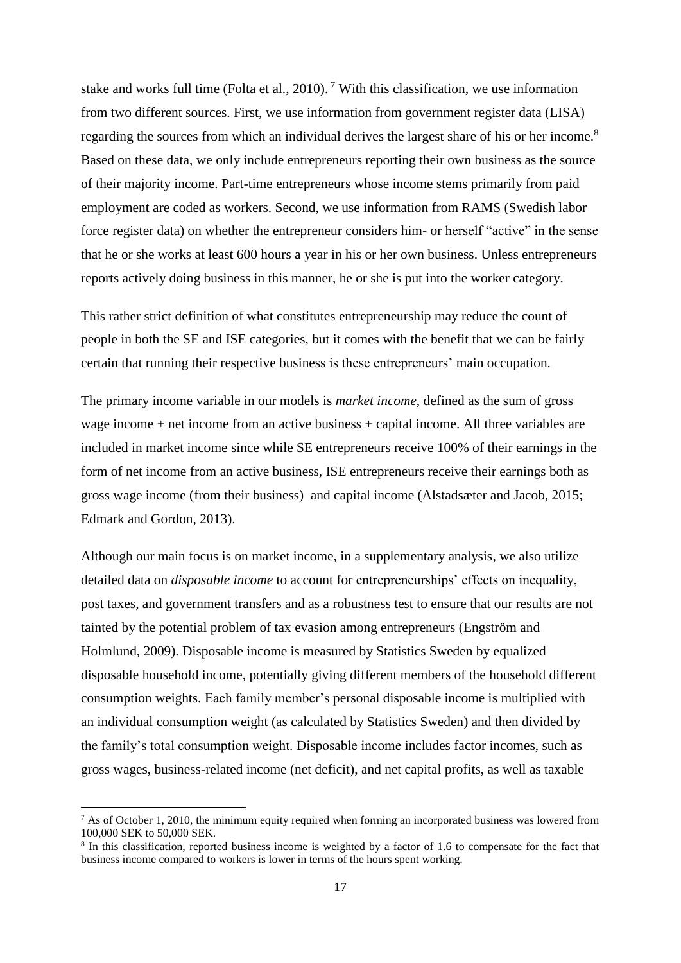stake and works full time (Folta et al., 2010).<sup>7</sup> With this classification, we use information from two different sources. First, we use information from government register data (LISA) regarding the sources from which an individual derives the largest share of his or her income.<sup>8</sup> Based on these data, we only include entrepreneurs reporting their own business as the source of their majority income. Part-time entrepreneurs whose income stems primarily from paid employment are coded as workers. Second, we use information from RAMS (Swedish labor force register data) on whether the entrepreneur considers him- or herself "active" in the sense that he or she works at least 600 hours a year in his or her own business. Unless entrepreneurs reports actively doing business in this manner, he or she is put into the worker category.

This rather strict definition of what constitutes entrepreneurship may reduce the count of people in both the SE and ISE categories, but it comes with the benefit that we can be fairly certain that running their respective business is these entrepreneurs' main occupation.

The primary income variable in our models is *market income*, defined as the sum of gross wage income + net income from an active business + capital income. All three variables are included in market income since while SE entrepreneurs receive 100% of their earnings in the form of net income from an active business, ISE entrepreneurs receive their earnings both as gross wage income (from their business) and capital income (Alstadsæter and Jacob, 2015; Edmark and Gordon, 2013).

Although our main focus is on market income, in a supplementary analysis, we also utilize detailed data on *disposable income* to account for entrepreneurships' effects on inequality, post taxes, and government transfers and as a robustness test to ensure that our results are not tainted by the potential problem of tax evasion among entrepreneurs (Engström and Holmlund, 2009). Disposable income is measured by Statistics Sweden by equalized disposable household income, potentially giving different members of the household different consumption weights. Each family member's personal disposable income is multiplied with an individual consumption weight (as calculated by Statistics Sweden) and then divided by the family's total consumption weight. Disposable income includes factor incomes, such as gross wages, business-related income (net deficit), and net capital profits, as well as taxable

-

 $7$  As of October 1, 2010, the minimum equity required when forming an incorporated business was lowered from 100,000 SEK to 50,000 SEK.

<sup>&</sup>lt;sup>8</sup> In this classification, reported business income is weighted by a factor of 1.6 to compensate for the fact that business income compared to workers is lower in terms of the hours spent working.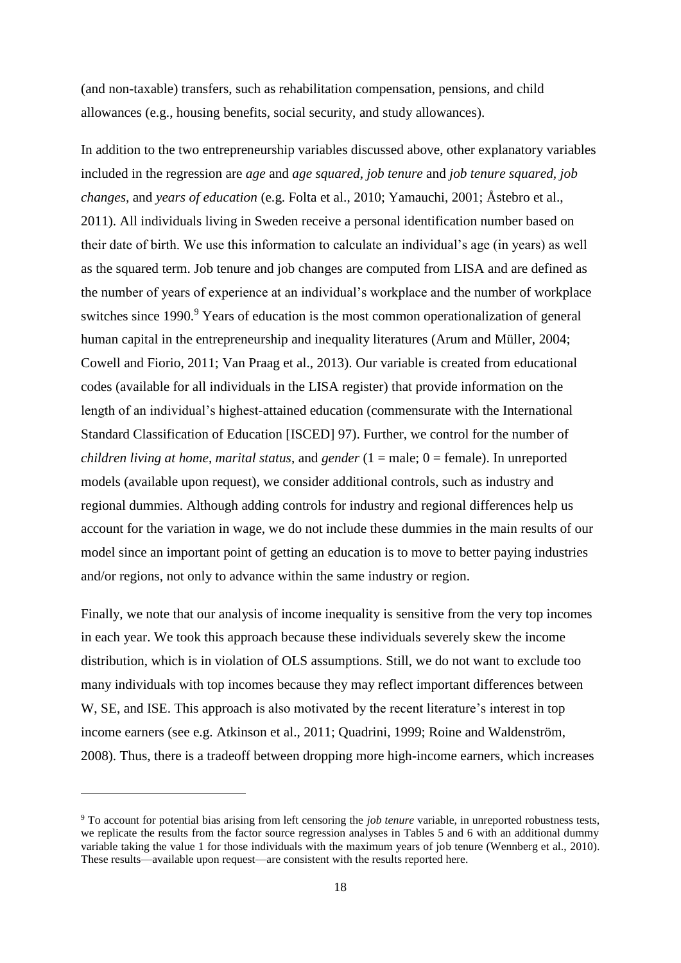(and non-taxable) transfers, such as rehabilitation compensation, pensions, and child allowances (e.g., housing benefits, social security, and study allowances).

In addition to the two entrepreneurship variables discussed above, other explanatory variables included in the regression are *age* and *age squared*, *job tenure* and *job tenure squared, job changes,* and *years of education* (e.g. Folta et al., 2010; Yamauchi, 2001; Åstebro et al., 2011). All individuals living in Sweden receive a personal identification number based on their date of birth. We use this information to calculate an individual's age (in years) as well as the squared term. Job tenure and job changes are computed from LISA and are defined as the number of years of experience at an individual's workplace and the number of workplace switches since 1990.<sup>9</sup> Years of education is the most common operationalization of general human capital in the entrepreneurship and inequality literatures (Arum and Müller, 2004; Cowell and Fiorio, 2011; Van Praag et al., 2013). Our variable is created from educational codes (available for all individuals in the LISA register) that provide information on the length of an individual's highest-attained education (commensurate with the International Standard Classification of Education [ISCED] 97). Further, we control for the number of *children living at home*, *marital status*, and *gender* (1 = male; 0 = female). In unreported models (available upon request), we consider additional controls, such as industry and regional dummies. Although adding controls for industry and regional differences help us account for the variation in wage, we do not include these dummies in the main results of our model since an important point of getting an education is to move to better paying industries and/or regions, not only to advance within the same industry or region.

Finally, we note that our analysis of income inequality is sensitive from the very top incomes in each year. We took this approach because these individuals severely skew the income distribution, which is in violation of OLS assumptions. Still, we do not want to exclude too many individuals with top incomes because they may reflect important differences between W, SE, and ISE. This approach is also motivated by the recent literature's interest in top income earners (see e.g. Atkinson et al., 2011; Quadrini, 1999; Roine and Waldenström, 2008). Thus, there is a tradeoff between dropping more high-income earners, which increases

-

<sup>9</sup> To account for potential bias arising from left censoring the *job tenure* variable, in unreported robustness tests, we replicate the results from the factor source regression analyses in Tables 5 and 6 with an additional dummy variable taking the value 1 for those individuals with the maximum years of job tenure (Wennberg et al., 2010). These results—available upon request—are consistent with the results reported here.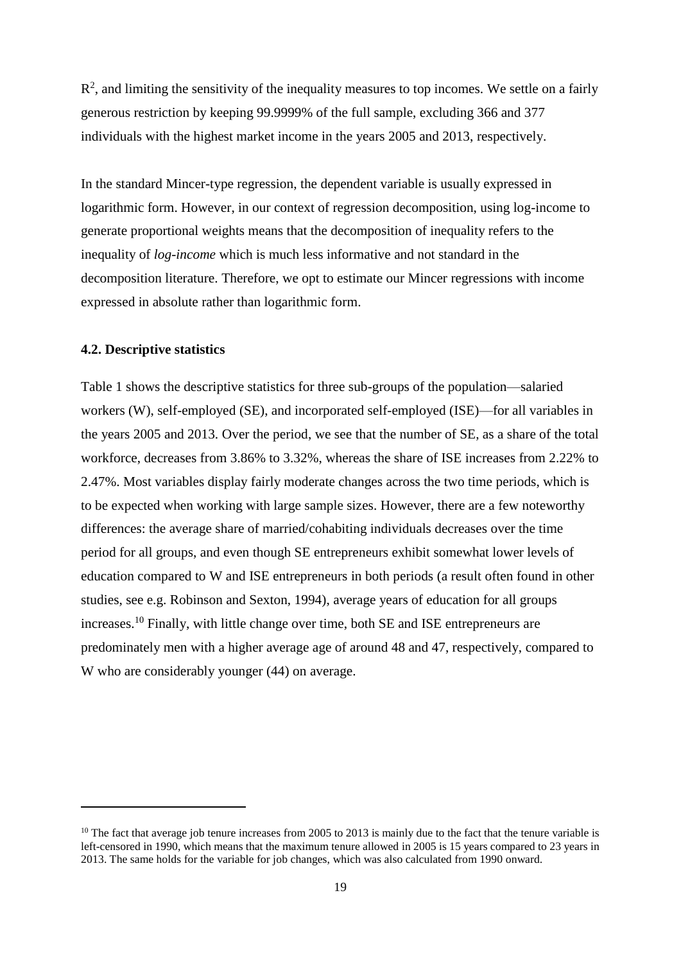$R<sup>2</sup>$ , and limiting the sensitivity of the inequality measures to top incomes. We settle on a fairly generous restriction by keeping 99.9999% of the full sample, excluding 366 and 377 individuals with the highest market income in the years 2005 and 2013, respectively.

In the standard Mincer-type regression, the dependent variable is usually expressed in logarithmic form. However, in our context of regression decomposition, using log-income to generate proportional weights means that the decomposition of inequality refers to the inequality of *log-income* which is much less informative and not standard in the decomposition literature. Therefore, we opt to estimate our Mincer regressions with income expressed in absolute rather than logarithmic form.

### **4.2. Descriptive statistics**

1

Table 1 shows the descriptive statistics for three sub-groups of the population—salaried workers (W), self-employed (SE), and incorporated self-employed (ISE)—for all variables in the years 2005 and 2013. Over the period, we see that the number of SE, as a share of the total workforce, decreases from 3.86% to 3.32%, whereas the share of ISE increases from 2.22% to 2.47%. Most variables display fairly moderate changes across the two time periods, which is to be expected when working with large sample sizes. However, there are a few noteworthy differences: the average share of married/cohabiting individuals decreases over the time period for all groups, and even though SE entrepreneurs exhibit somewhat lower levels of education compared to W and ISE entrepreneurs in both periods (a result often found in other studies, see e.g. Robinson and Sexton, 1994), average years of education for all groups increases.<sup>10</sup> Finally, with little change over time, both SE and ISE entrepreneurs are predominately men with a higher average age of around 48 and 47, respectively, compared to W who are considerably younger (44) on average.

<sup>&</sup>lt;sup>10</sup> The fact that average job tenure increases from 2005 to 2013 is mainly due to the fact that the tenure variable is left-censored in 1990, which means that the maximum tenure allowed in 2005 is 15 years compared to 23 years in 2013. The same holds for the variable for job changes, which was also calculated from 1990 onward.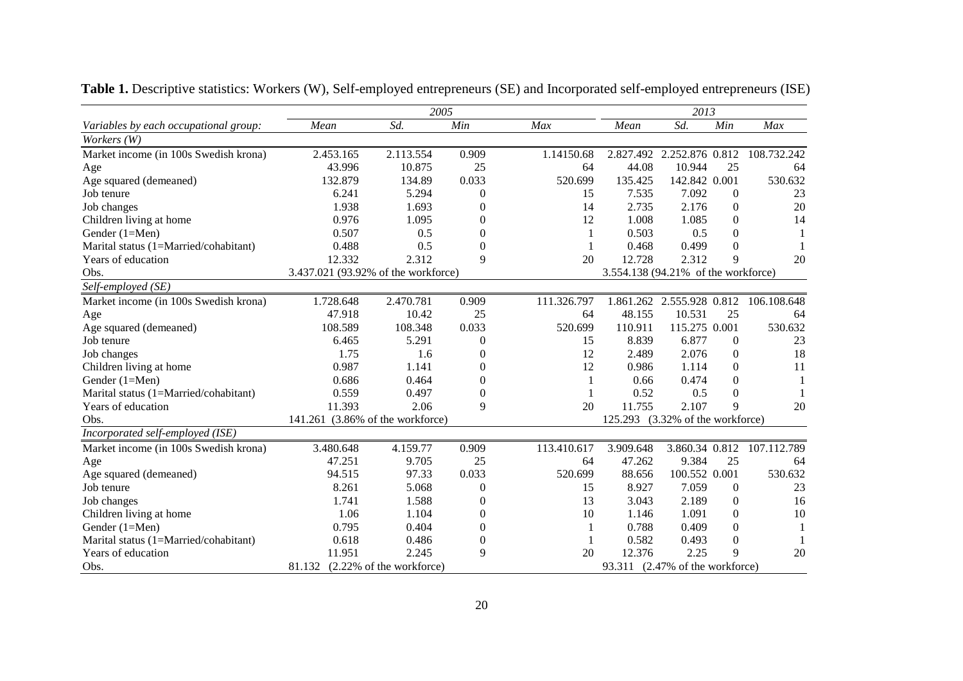|                                       |                                     |                          | 2005             |             |                                     | 2013                      |                  |             |
|---------------------------------------|-------------------------------------|--------------------------|------------------|-------------|-------------------------------------|---------------------------|------------------|-------------|
| Variables by each occupational group: | Mean                                | Sd.                      | Min              | Max         | Mean                                | Sd.                       | Min              | Max         |
| Workers (W)                           |                                     |                          |                  |             |                                     |                           |                  |             |
| Market income (in 100s Swedish krona) | 2.453.165                           | 2.113.554                | 0.909            | 1.14150.68  |                                     | 2.827.492 2.252.876 0.812 |                  | 108.732.242 |
| Age                                   | 43.996                              | 10.875                   | 25               | 64          | 44.08                               | 10.944                    | 25               | 64          |
| Age squared (demeaned)                | 132.879                             | 134.89                   | 0.033            | 520.699     | 135.425                             | 142.842 0.001             |                  | 530.632     |
| Job tenure                            | 6.241                               | 5.294                    | $\overline{0}$   | 15          | 7.535                               | 7.092                     | $\Omega$         | 23          |
| Job changes                           | 1.938                               | 1.693                    | $\Omega$         | 14          | 2.735                               | 2.176                     | $\mathbf{0}$     | 20          |
| Children living at home               | 0.976                               | 1.095                    | $\Omega$         | 12          | 1.008                               | 1.085                     | $\overline{0}$   | 14          |
| Gender (1=Men)                        | 0.507                               | 0.5                      | $\Omega$         |             | 0.503                               | 0.5                       | $\mathbf{0}$     |             |
| Marital status (1=Married/cohabitant) | 0.488                               | 0.5                      | $\Omega$         |             | 0.468                               | 0.499                     | $\Omega$         |             |
| Years of education                    | 12.332                              | 2.312                    | 9                | 20          | 12.728                              | 2.312                     | 9                | 20          |
| Obs.                                  | 3.437.021 (93.92% of the workforce) |                          |                  |             | 3.554.138 (94.21% of the workforce) |                           |                  |             |
| Self-employed (SE)                    |                                     |                          |                  |             |                                     |                           |                  |             |
| Market income (in 100s Swedish krona) | 1.728.648                           | 2.470.781                | 0.909            | 111.326.797 |                                     | 1.861.262 2.555.928 0.812 |                  | 106.108.648 |
| Age                                   | 47.918                              | 10.42                    | 25               | 64          | 48.155                              | 10.531                    | 25               | 64          |
| Age squared (demeaned)                | 108.589                             | 108.348                  | 0.033            | 520.699     | 110.911                             | 115.275 0.001             |                  | 530.632     |
| Job tenure                            | 6.465                               | 5.291                    | $\overline{0}$   | 15          | 8.839                               | 6.877                     | $\mathbf{0}$     | 23          |
| Job changes                           | 1.75                                | 1.6                      | $\boldsymbol{0}$ | 12          | 2.489                               | 2.076                     | $\boldsymbol{0}$ | 18          |
| Children living at home               | 0.987                               | 1.141                    | $\boldsymbol{0}$ | 12          | 0.986                               | 1.114                     | $\boldsymbol{0}$ | 11          |
| Gender (1=Men)                        | 0.686                               | 0.464                    | $\mathbf{0}$     | 1           | 0.66                                | 0.474                     | $\boldsymbol{0}$ |             |
| Marital status (1=Married/cohabitant) | 0.559                               | 0.497                    | $\mathbf{0}$     | 1           | 0.52                                | 0.5                       | $\mathbf{0}$     |             |
| Years of education                    | 11.393                              | 2.06                     | 9                | 20          | 11.755                              | 2.107                     | 9                | 20          |
| Obs.                                  | 141.261 (3.86% of the workforce)    |                          |                  |             | 125.293                             | (3.32% of the workforce)  |                  |             |
| Incorporated self-employed (ISE)      |                                     |                          |                  |             |                                     |                           |                  |             |
| Market income (in 100s Swedish krona) | 3.480.648                           | 4.159.77                 | 0.909            | 113.410.617 | 3.909.648                           | 3.860.34 0.812            |                  | 107.112.789 |
| Age                                   | 47.251                              | 9.705                    | 25               | 64          | 47.262                              | 9.384                     | 25               | 64          |
| Age squared (demeaned)                | 94.515                              | 97.33                    | 0.033            | 520.699     | 88.656                              | 100.552 0.001             |                  | 530.632     |
| Job tenure                            | 8.261                               | 5.068                    | $\overline{0}$   | 15          | 8.927                               | 7.059                     | $\theta$         | 23          |
| Job changes                           | 1.741                               | 1.588                    | $\mathbf{0}$     | 13          | 3.043                               | 2.189                     | $\mathbf{0}$     | 16          |
| Children living at home               | 1.06                                | 1.104                    | $\overline{0}$   | 10          | 1.146                               | 1.091                     | $\mathbf{0}$     | 10          |
| Gender (1=Men)                        | 0.795                               | 0.404                    | $\mathbf{0}$     | 1           | 0.788                               | 0.409                     | $\mathbf{0}$     |             |
| Marital status (1=Married/cohabitant) | 0.618                               | 0.486                    | $\overline{0}$   |             | 0.582                               | 0.493                     | $\mathbf{0}$     |             |
| Years of education                    | 11.951                              | 2.245                    | 9                | 20          | 12.376                              | 2.25                      | 9                | 20          |
| Obs.                                  | 81.132                              | (2.22% of the workforce) |                  |             | 93.311                              | (2.47% of the workforce)  |                  |             |

**Table 1.** Descriptive statistics: Workers (W), Self-employed entrepreneurs (SE) and Incorporated self-employed entrepreneurs (ISE)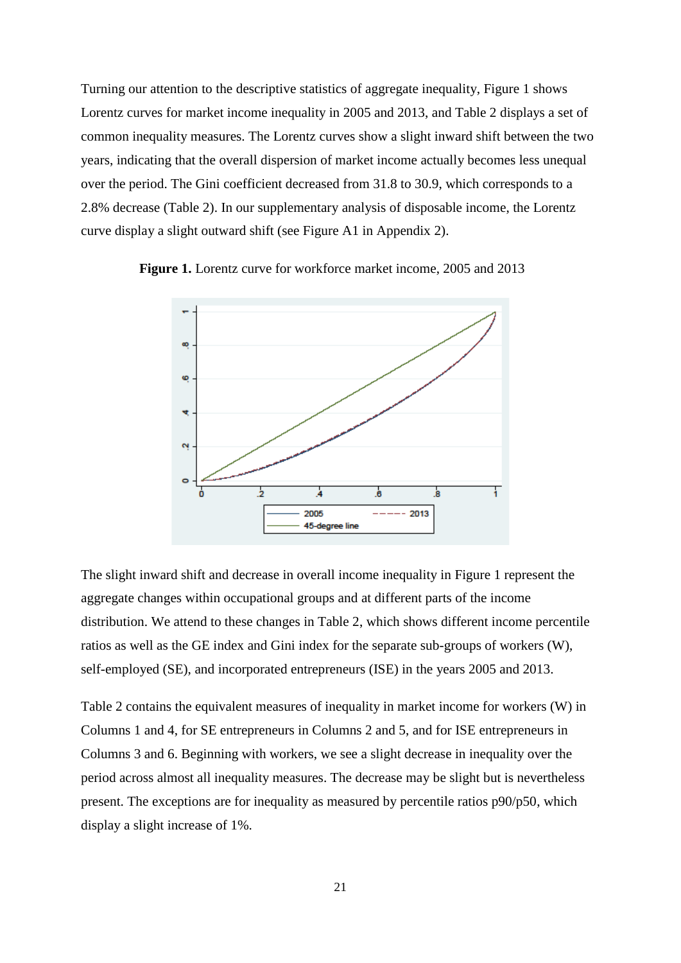Turning our attention to the descriptive statistics of aggregate inequality, Figure 1 shows Lorentz curves for market income inequality in 2005 and 2013, and Table 2 displays a set of common inequality measures. The Lorentz curves show a slight inward shift between the two years, indicating that the overall dispersion of market income actually becomes less unequal over the period. The Gini coefficient decreased from 31.8 to 30.9, which corresponds to a 2.8% decrease (Table 2). In our supplementary analysis of disposable income, the Lorentz curve display a slight outward shift (see Figure A1 in Appendix 2).



 **Figure 1.** Lorentz curve for workforce market income, 2005 and 2013

The slight inward shift and decrease in overall income inequality in Figure 1 represent the aggregate changes within occupational groups and at different parts of the income distribution. We attend to these changes in Table 2, which shows different income percentile ratios as well as the GE index and Gini index for the separate sub-groups of workers (W), self-employed (SE), and incorporated entrepreneurs (ISE) in the years 2005 and 2013.

Table 2 contains the equivalent measures of inequality in market income for workers (W) in Columns 1 and 4, for SE entrepreneurs in Columns 2 and 5, and for ISE entrepreneurs in Columns 3 and 6. Beginning with workers, we see a slight decrease in inequality over the period across almost all inequality measures. The decrease may be slight but is nevertheless present. The exceptions are for inequality as measured by percentile ratios p90/p50, which display a slight increase of 1%.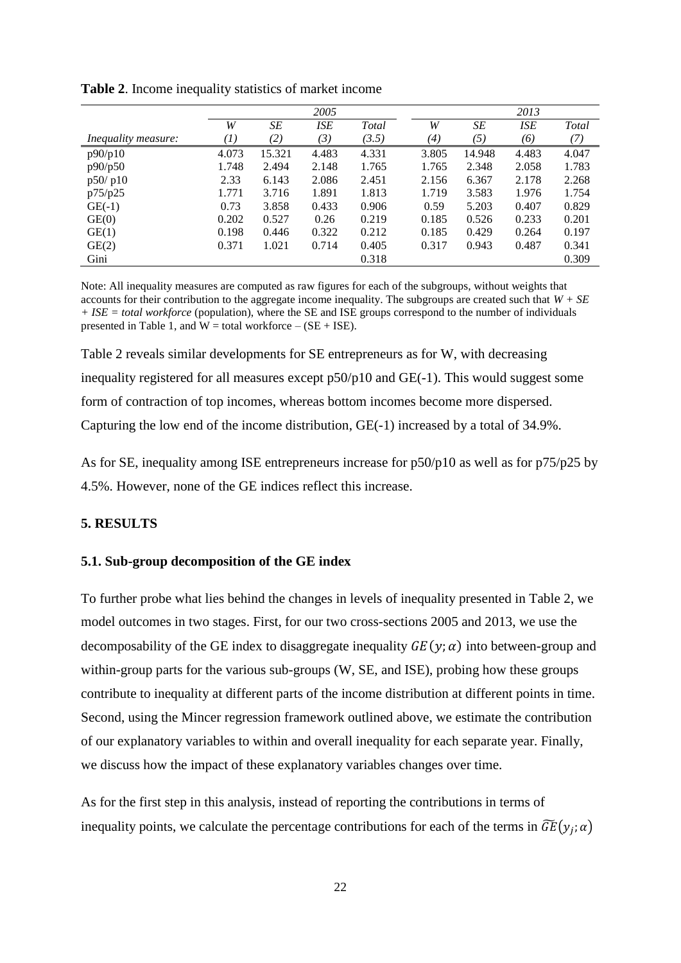|                            |       |        | 2005       |       |       |                   | 2013       |       |
|----------------------------|-------|--------|------------|-------|-------|-------------------|------------|-------|
|                            | W     | SE     | <b>ISE</b> | Total | W     | SE                | <b>ISE</b> | Total |
| <i>Inequality measure:</i> | (1)   | (2)    | (3)        | (3.5) | (4)   | $\left( 5\right)$ | (6)        | 7)    |
| p90/p10                    | 4.073 | 15.321 | 4.483      | 4.331 | 3.805 | 14.948            | 4.483      | 4.047 |
| p90/p50                    | 1.748 | 2.494  | 2.148      | 1.765 | 1.765 | 2.348             | 2.058      | 1.783 |
| p50/p10                    | 2.33  | 6.143  | 2.086      | 2.451 | 2.156 | 6.367             | 2.178      | 2.268 |
| p75/p25                    | 1.771 | 3.716  | 1.891      | 1.813 | 1.719 | 3.583             | 1.976      | 1.754 |
| $GE(-1)$                   | 0.73  | 3.858  | 0.433      | 0.906 | 0.59  | 5.203             | 0.407      | 0.829 |
| GE(0)                      | 0.202 | 0.527  | 0.26       | 0.219 | 0.185 | 0.526             | 0.233      | 0.201 |
| GE(1)                      | 0.198 | 0.446  | 0.322      | 0.212 | 0.185 | 0.429             | 0.264      | 0.197 |
| GE(2)                      | 0.371 | 1.021  | 0.714      | 0.405 | 0.317 | 0.943             | 0.487      | 0.341 |
| Gini                       |       |        |            | 0.318 |       |                   |            | 0.309 |

**Table 2**. Income inequality statistics of market income

Note: All inequality measures are computed as raw figures for each of the subgroups, without weights that accounts for their contribution to the aggregate income inequality. The subgroups are created such that  $W + SE$ *+ ISE = total workforce* (population), where the SE and ISE groups correspond to the number of individuals presented in Table 1, and  $W =$  total workforce  $-$  (SE + ISE).

Table 2 reveals similar developments for SE entrepreneurs as for W, with decreasing inequality registered for all measures except p50/p10 and GE(-1). This would suggest some form of contraction of top incomes, whereas bottom incomes become more dispersed. Capturing the low end of the income distribution, GE(-1) increased by a total of 34.9%.

As for SE, inequality among ISE entrepreneurs increase for p50/p10 as well as for p75/p25 by 4.5%. However, none of the GE indices reflect this increase.

### **5. RESULTS**

### **5.1. Sub-group decomposition of the GE index**

To further probe what lies behind the changes in levels of inequality presented in Table 2, we model outcomes in two stages. First, for our two cross-sections 2005 and 2013, we use the decomposability of the GE index to disaggregate inequality  $GE(y; \alpha)$  into between-group and within-group parts for the various sub-groups (W, SE, and ISE), probing how these groups contribute to inequality at different parts of the income distribution at different points in time. Second, using the Mincer regression framework outlined above, we estimate the contribution of our explanatory variables to within and overall inequality for each separate year. Finally, we discuss how the impact of these explanatory variables changes over time.

As for the first step in this analysis, instead of reporting the contributions in terms of inequality points, we calculate the percentage contributions for each of the terms in  $\widetilde{GE}(y_j; \alpha)$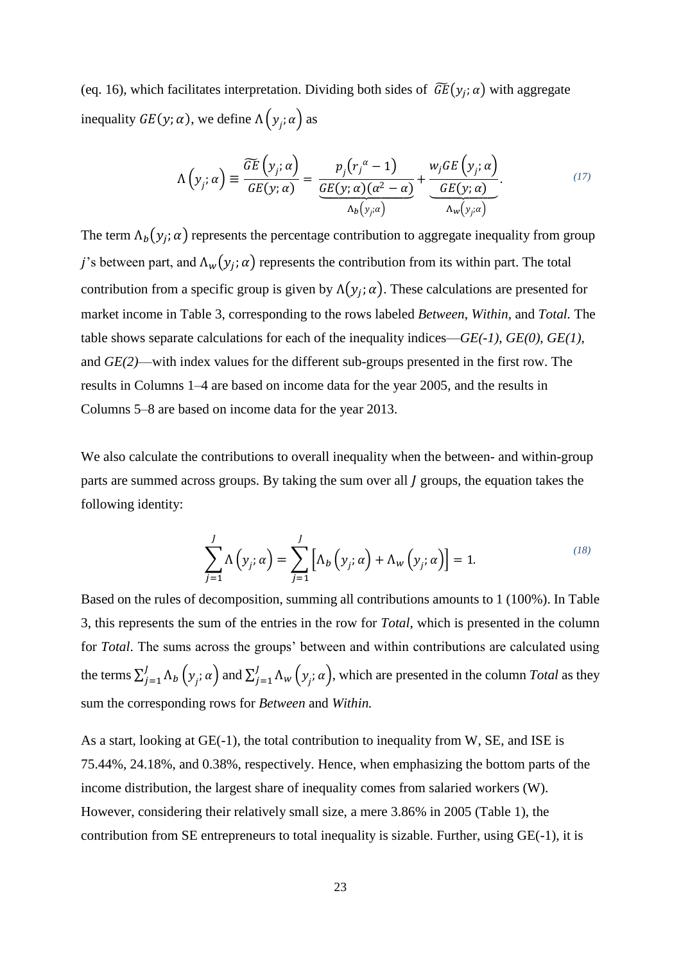(eq. 16), which facilitates interpretation. Dividing both sides of  $\widetilde{GE}(y_j; \alpha)$  with aggregate inequality  $GE(y; \alpha)$ , we define  $\Lambda(y_j; \alpha)$  as

$$
\Lambda\left(y_j;\alpha\right) \equiv \frac{\widetilde{GE}\left(y_j;\alpha\right)}{GE(y;\alpha)} = \frac{p_j\left(r_j^{\alpha}-1\right)}{\underbrace{GE(y;\alpha)(\alpha^2-\alpha)}} + \frac{w_jGE\left(y_j;\alpha\right)}{\underbrace{GE(y;\alpha)}}.
$$
\n(17)

The term  $\Lambda_b(y_j; \alpha)$  represents the percentage contribution to aggregate inequality from group j's between part, and  $\Lambda_w(y_j; \alpha)$  represents the contribution from its within part. The total contribution from a specific group is given by  $\Lambda(y_j; \alpha)$ . These calculations are presented for market income in Table 3, corresponding to the rows labeled *Between*, *Within,* and *Total.* The table shows separate calculations for each of the inequality indices—*GE(-1)*, *GE(0)*, *GE(1)*, and *GE(2)*—with index values for the different sub-groups presented in the first row. The results in Columns 1–4 are based on income data for the year 2005, and the results in Columns 5–8 are based on income data for the year 2013.

We also calculate the contributions to overall inequality when the between- and within-group parts are summed across groups. By taking the sum over all *l* groups, the equation takes the following identity:

$$
\sum_{j=1}^{J} \Lambda\left(y_j; \alpha\right) = \sum_{j=1}^{J} \left[ \Lambda_b\left(y_j; \alpha\right) + \Lambda_w\left(y_j; \alpha\right) \right] = 1. \tag{18}
$$

Based on the rules of decomposition, summing all contributions amounts to 1 (100%). In Table 3, this represents the sum of the entries in the row for *Total,* which is presented in the column for *Total*. The sums across the groups' between and within contributions are calculated using the terms  $\sum_{j=1}^{J} \Lambda_b \left( y_j; \alpha \right)$  $\sum_{j=1}^{J} \Lambda_b \left( y_j; \alpha \right)$  and  $\sum_{j=1}^{J} \Lambda_w \left( y_j; \alpha \right)$  $J_{j=1} \Lambda_w(y_j; \alpha)$ , which are presented in the column *Total* as they sum the corresponding rows for *Between* and *Within.*

As a start, looking at GE(-1), the total contribution to inequality from W, SE, and ISE is 75.44%, 24.18%, and 0.38%, respectively. Hence, when emphasizing the bottom parts of the income distribution, the largest share of inequality comes from salaried workers (W). However, considering their relatively small size, a mere 3.86% in 2005 (Table 1), the contribution from SE entrepreneurs to total inequality is sizable. Further, using GE(-1), it is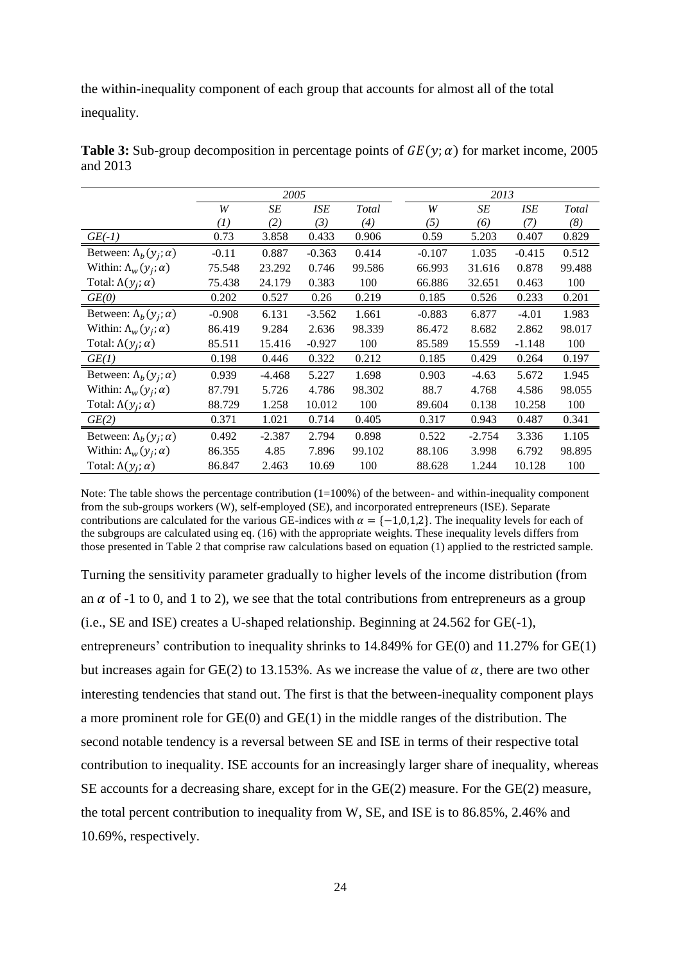the within-inequality component of each group that accounts for almost all of the total inequality.

|                                   |          | 2005     |          |                     |          | 2013     |          |              |
|-----------------------------------|----------|----------|----------|---------------------|----------|----------|----------|--------------|
|                                   | W        | SE       | ISE      | Total               | W        | SE       | ISE      | <b>Total</b> |
|                                   | $^{(1)}$ | (2)      | (3)      | $\scriptstyle{(4)}$ | (5)      | (6)      | (7)      | (8)          |
| $GE(-1)$                          | 0.73     | 3.858    | 0.433    | 0.906               | 0.59     | 5.203    | 0.407    | 0.829        |
| Between: $\Lambda_b(y_i; \alpha)$ | $-0.11$  | 0.887    | $-0.363$ | 0.414               | $-0.107$ | 1.035    | $-0.415$ | 0.512        |
| Within: $\Lambda_w(y_i; \alpha)$  | 75.548   | 23.292   | 0.746    | 99.586              | 66.993   | 31.616   | 0.878    | 99.488       |
| Total: $\Lambda(y_i; \alpha)$     | 75.438   | 24.179   | 0.383    | 100                 | 66.886   | 32.651   | 0.463    | 100          |
| GE(0)                             | 0.202    | 0.527    | 0.26     | 0.219               | 0.185    | 0.526    | 0.233    | 0.201        |
| Between: $\Lambda_b(y_i; \alpha)$ | $-0.908$ | 6.131    | $-3.562$ | 1.661               | $-0.883$ | 6.877    | $-4.01$  | 1.983        |
| Within: $\Lambda_w(y_i; \alpha)$  | 86.419   | 9.284    | 2.636    | 98.339              | 86.472   | 8.682    | 2.862    | 98.017       |
| Total: $\Lambda(y_i; \alpha)$     | 85.511   | 15.416   | $-0.927$ | 100                 | 85.589   | 15.559   | $-1.148$ | 100          |
| GE(1)                             | 0.198    | 0.446    | 0.322    | 0.212               | 0.185    | 0.429    | 0.264    | 0.197        |
| Between: $\Lambda_b(y_i; \alpha)$ | 0.939    | $-4.468$ | 5.227    | 1.698               | 0.903    | $-4.63$  | 5.672    | 1.945        |
| Within: $\Lambda_w(y_i; \alpha)$  | 87.791   | 5.726    | 4.786    | 98.302              | 88.7     | 4.768    | 4.586    | 98.055       |
| Total: $\Lambda(y_i; \alpha)$     | 88.729   | 1.258    | 10.012   | 100                 | 89.604   | 0.138    | 10.258   | 100          |
| GE(2)                             | 0.371    | 1.021    | 0.714    | 0.405               | 0.317    | 0.943    | 0.487    | 0.341        |
| Between: $\Lambda_b(y_i; \alpha)$ | 0.492    | $-2.387$ | 2.794    | 0.898               | 0.522    | $-2.754$ | 3.336    | 1.105        |
| Within: $\Lambda_w(y_i; \alpha)$  | 86.355   | 4.85     | 7.896    | 99.102              | 88.106   | 3.998    | 6.792    | 98.895       |
| Total: $\Lambda(y_i; \alpha)$     | 86.847   | 2.463    | 10.69    | 100                 | 88.628   | 1.244    | 10.128   | 100          |

**Table 3:** Sub-group decomposition in percentage points of  $GE(y; \alpha)$  for market income, 2005 and 2013

Note: The table shows the percentage contribution  $(1=100\%)$  of the between- and within-inequality component from the sub-groups workers (W), self-employed (SE), and incorporated entrepreneurs (ISE). Separate contributions are calculated for the various GE-indices with  $\alpha = \{-1,0,1,2\}$ . The inequality levels for each of the subgroups are calculated using eq. (16) with the appropriate weights. These inequality levels differs from those presented in Table 2 that comprise raw calculations based on equation (1) applied to the restricted sample.

Turning the sensitivity parameter gradually to higher levels of the income distribution (from an  $\alpha$  of -1 to 0, and 1 to 2), we see that the total contributions from entrepreneurs as a group (i.e., SE and ISE) creates a U-shaped relationship. Beginning at 24.562 for GE(-1), entrepreneurs' contribution to inequality shrinks to 14.849% for GE(0) and 11.27% for GE(1) but increases again for GE(2) to 13.153%. As we increase the value of  $\alpha$ , there are two other interesting tendencies that stand out. The first is that the between-inequality component plays a more prominent role for GE(0) and GE(1) in the middle ranges of the distribution. The second notable tendency is a reversal between SE and ISE in terms of their respective total contribution to inequality. ISE accounts for an increasingly larger share of inequality, whereas SE accounts for a decreasing share, except for in the GE(2) measure. For the GE(2) measure, the total percent contribution to inequality from W, SE, and ISE is to 86.85%, 2.46% and 10.69%, respectively.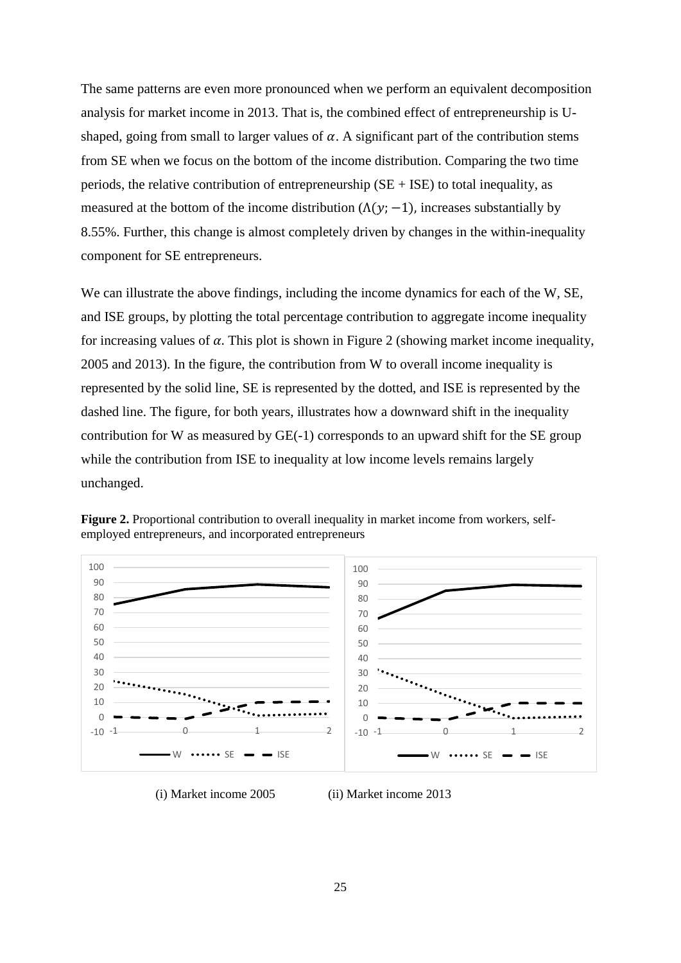The same patterns are even more pronounced when we perform an equivalent decomposition analysis for market income in 2013. That is, the combined effect of entrepreneurship is Ushaped, going from small to larger values of  $\alpha$ . A significant part of the contribution stems from SE when we focus on the bottom of the income distribution. Comparing the two time periods, the relative contribution of entrepreneurship ( $SE + ISE$ ) to total inequality, as measured at the bottom of the income distribution  $(\Lambda(\gamma; -1))$ , increases substantially by 8.55%. Further, this change is almost completely driven by changes in the within-inequality component for SE entrepreneurs.

We can illustrate the above findings, including the income dynamics for each of the W, SE, and ISE groups, by plotting the total percentage contribution to aggregate income inequality for increasing values of  $\alpha$ . This plot is shown in Figure 2 (showing market income inequality, 2005 and 2013). In the figure, the contribution from W to overall income inequality is represented by the solid line, SE is represented by the dotted, and ISE is represented by the dashed line. The figure, for both years, illustrates how a downward shift in the inequality contribution for W as measured by GE(-1) corresponds to an upward shift for the SE group while the contribution from ISE to inequality at low income levels remains largely unchanged.



**Figure 2.** Proportional contribution to overall inequality in market income from workers, selfemployed entrepreneurs, and incorporated entrepreneurs

(i) Market income 2005 (ii) Market income 2013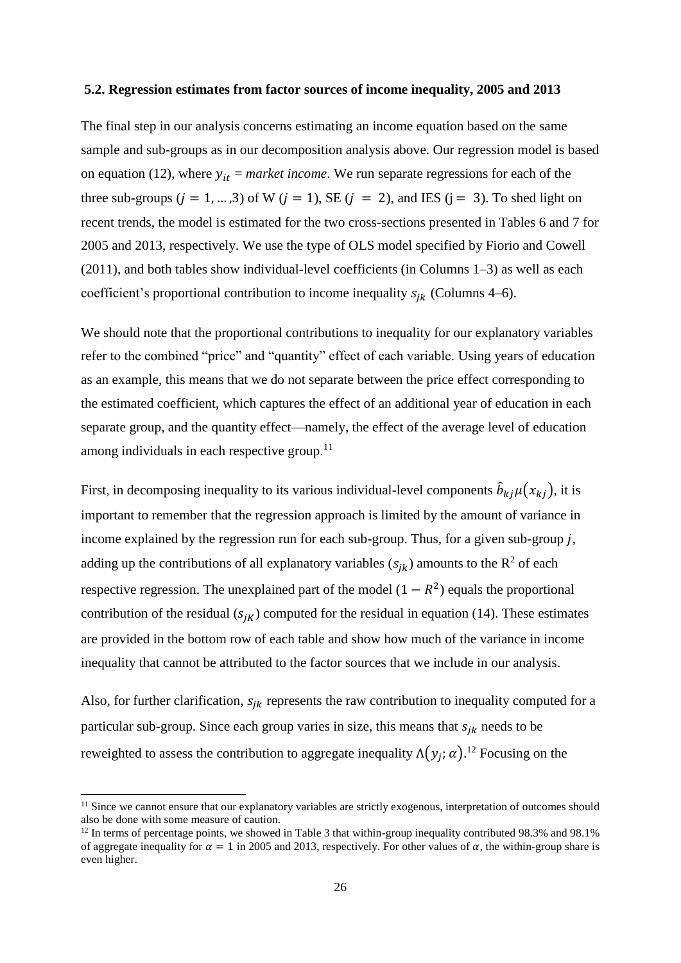### **5.2. Regression estimates from factor sources of income inequality, 2005 and 2013**

The final step in our analysis concerns estimating an income equation based on the same sample and sub-groups as in our decomposition analysis above. Our regression model is based on equation (12), where  $y_{it}$  = *market income*. We run separate regressions for each of the three sub-groups  $(i = 1, ..., 3)$  of W  $(i = 1)$ , SE  $(i = 2)$ , and IES  $(i = 3)$ . To shed light on recent trends, the model is estimated for the two cross-sections presented in Tables 6 and 7 for 2005 and 2013, respectively. We use the type of OLS model specified by Fiorio and Cowell (2011), and both tables show individual-level coefficients (in Columns 1–3) as well as each coefficient's proportional contribution to income inequality  $s_{ik}$  (Columns 4–6).

We should note that the proportional contributions to inequality for our explanatory variables refer to the combined "price" and "quantity" effect of each variable. Using years of education as an example, this means that we do not separate between the price effect corresponding to the estimated coefficient, which captures the effect of an additional year of education in each separate group, and the quantity effect—namely, the effect of the average level of education among individuals in each respective group. $11$ 

First, in decomposing inequality to its various individual-level components  $\hat{b}_{kj}\mu(x_{kj})$ , it is important to remember that the regression approach is limited by the amount of variance in income explained by the regression run for each sub-group. Thus, for a given sub-group  $j$ , adding up the contributions of all explanatory variables  $(s_{jk})$  amounts to the  $\mathbb{R}^2$  of each respective regression. The unexplained part of the model  $(1 - R^2)$  equals the proportional contribution of the residual  $(s_{jk})$  computed for the residual in equation (14). These estimates are provided in the bottom row of each table and show how much of the variance in income inequality that cannot be attributed to the factor sources that we include in our analysis.

Also, for further clarification,  $s_{ik}$  represents the raw contribution to inequality computed for a particular sub-group. Since each group varies in size, this means that  $s_{ik}$  needs to be reweighted to assess the contribution to aggregate inequality  $\Lambda(y_j; \alpha)$ .<sup>12</sup> Focusing on the

-

<sup>&</sup>lt;sup>11</sup> Since we cannot ensure that our explanatory variables are strictly exogenous, interpretation of outcomes should also be done with some measure of caution.

 $12$  In terms of percentage points, we showed in Table 3 that within-group inequality contributed 98.3% and 98.1% of aggregate inequality for  $\alpha = 1$  in 2005 and 2013, respectively. For other values of  $\alpha$ , the within-group share is even higher.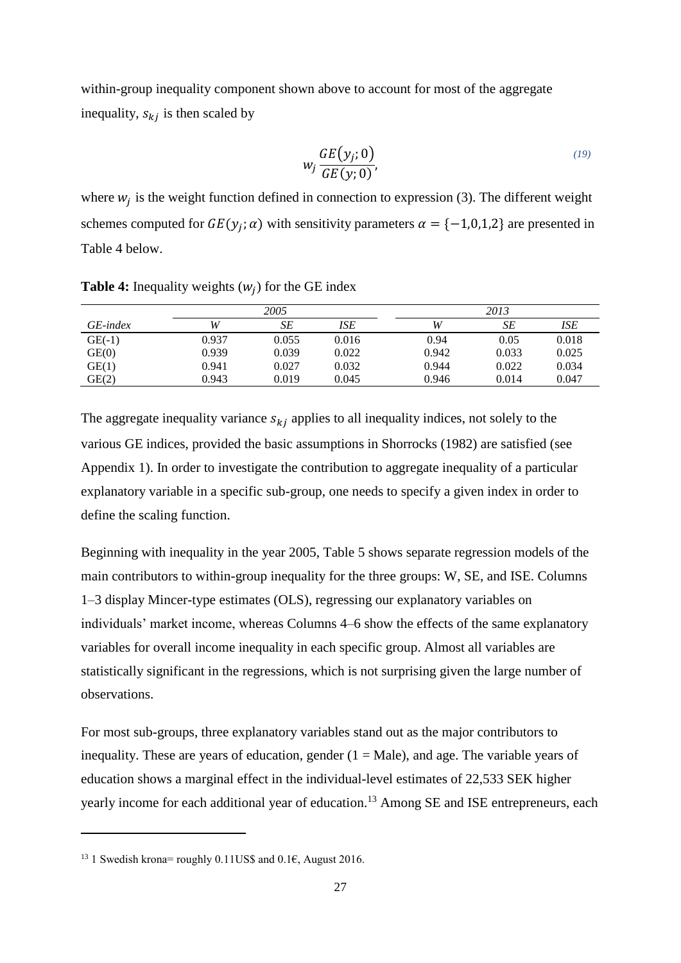within-group inequality component shown above to account for most of the aggregate inequality,  $s_{ki}$  is then scaled by

$$
w_j \frac{GE(y_j; 0)}{GE(y; 0)},
$$
\n(19)

where  $w_j$  is the weight function defined in connection to expression (3). The different weight schemes computed for  $GE(y_j; \alpha)$  with sensitivity parameters  $\alpha = \{-1,0,1,2\}$  are presented in Table 4 below.

|          |       |       | 2013  |       |       |       |
|----------|-------|-------|-------|-------|-------|-------|
| GE-index | W     | SE    | ISE   | W     | SE    | ISE   |
| $GE(-1)$ | 0.937 | 0.055 | 0.016 | 0.94  | 0.05  | 0.018 |
| GE(0)    | 0.939 | 0.039 | 0.022 | 0.942 | 0.033 | 0.025 |
| GE(1)    | 0.941 | 0.027 | 0.032 | 0.944 | 0.022 | 0.034 |
| GE(2)    | 0.943 | 0.019 | 0.045 | 0.946 | 0.014 | 0.047 |

**Table 4:** Inequality weights  $(w_j)$  for the GE index

The aggregate inequality variance  $s_{ki}$  applies to all inequality indices, not solely to the various GE indices, provided the basic assumptions in Shorrocks (1982) are satisfied (see Appendix 1). In order to investigate the contribution to aggregate inequality of a particular explanatory variable in a specific sub-group, one needs to specify a given index in order to define the scaling function.

Beginning with inequality in the year 2005, Table 5 shows separate regression models of the main contributors to within-group inequality for the three groups: W, SE, and ISE. Columns 1–3 display Mincer-type estimates (OLS), regressing our explanatory variables on individuals' market income, whereas Columns 4–6 show the effects of the same explanatory variables for overall income inequality in each specific group. Almost all variables are statistically significant in the regressions, which is not surprising given the large number of observations.

For most sub-groups, three explanatory variables stand out as the major contributors to inequality. These are years of education, gender  $(1 = Male)$ , and age. The variable years of education shows a marginal effect in the individual-level estimates of 22,533 SEK higher yearly income for each additional year of education.<sup>13</sup> Among SE and ISE entrepreneurs, each

-

<sup>&</sup>lt;sup>13</sup> 1 Swedish krona= roughly 0.11US\$ and 0.1€, August 2016.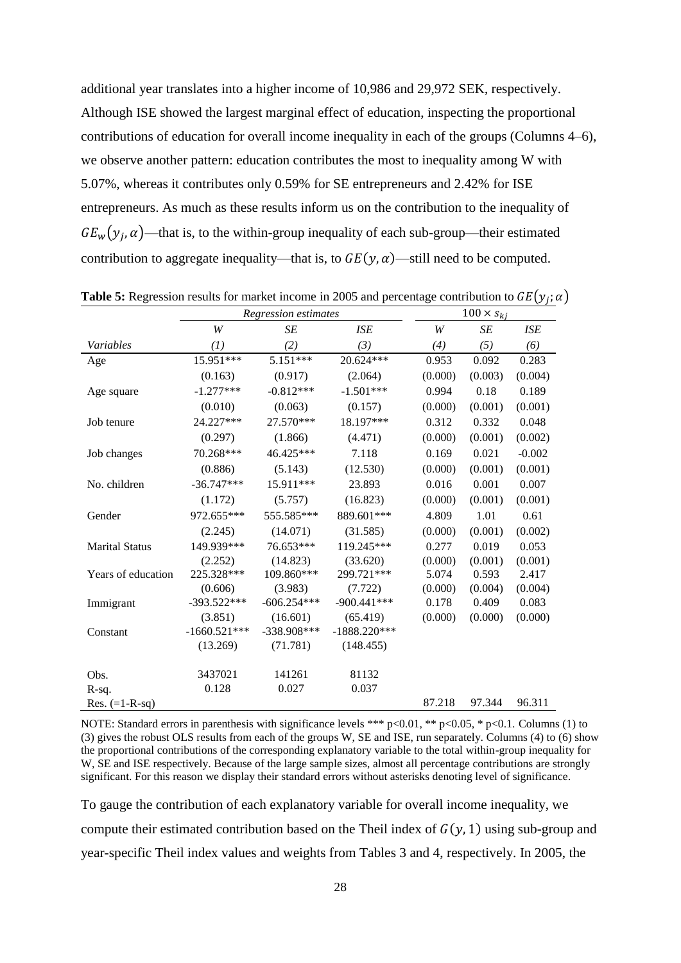additional year translates into a higher income of 10,986 and 29,972 SEK, respectively. Although ISE showed the largest marginal effect of education, inspecting the proportional contributions of education for overall income inequality in each of the groups (Columns 4–6), we observe another pattern: education contributes the most to inequality among W with 5.07%, whereas it contributes only 0.59% for SE entrepreneurs and 2.42% for ISE entrepreneurs. As much as these results inform us on the contribution to the inequality of  $GE_w(y_j, \alpha)$ —that is, to the within-group inequality of each sub-group—their estimated contribution to aggregate inequality—that is, to  $GE(v, \alpha)$ —still need to be computed.

|                       |                | Regression estimates |                |         | $100 \times s_{kj}$ |            |  |  |
|-----------------------|----------------|----------------------|----------------|---------|---------------------|------------|--|--|
|                       | W              | SE                   | <b>ISE</b>     | W       | SE                  | <b>ISE</b> |  |  |
| Variables             | (1)            | (2)                  | (3)            | (4)     | (5)                 | (6)        |  |  |
| Age                   | 15.951***      | 5.151***             | 20.624***      | 0.953   | 0.092               | 0.283      |  |  |
|                       | (0.163)        | (0.917)              | (2.064)        | (0.000) | (0.003)             | (0.004)    |  |  |
| Age square            | $-1.277***$    | $-0.812***$          | $-1.501***$    | 0.994   | 0.18                | 0.189      |  |  |
|                       | (0.010)        | (0.063)              | (0.157)        | (0.000) | (0.001)             | (0.001)    |  |  |
| Job tenure            | 24.227***      | 27.570***            | 18.197***      | 0.312   | 0.332               | 0.048      |  |  |
|                       | (0.297)        | (1.866)              | (4.471)        | (0.000) | (0.001)             | (0.002)    |  |  |
| Job changes           | 70.268***      | 46.425***            | 7.118          | 0.169   | 0.021               | $-0.002$   |  |  |
|                       | (0.886)        | (5.143)              | (12.530)       | (0.000) | (0.001)             | (0.001)    |  |  |
| No. children          | $-36.747***$   | 15.911***            | 23.893         | 0.016   | 0.001               | 0.007      |  |  |
|                       | (1.172)        | (5.757)              | (16.823)       | (0.000) | (0.001)             | (0.001)    |  |  |
| Gender                | 972.655***     | 555.585***           | 889.601***     | 4.809   | 1.01                | 0.61       |  |  |
|                       | (2.245)        | (14.071)             | (31.585)       | (0.000) | (0.001)             | (0.002)    |  |  |
| <b>Marital Status</b> | 149.939***     | 76.653***            | 119.245***     | 0.277   | 0.019               | 0.053      |  |  |
|                       | (2.252)        | (14.823)             | (33.620)       | (0.000) | (0.001)             | (0.001)    |  |  |
| Years of education    | 225.328***     | 109.860***           | 299.721***     | 5.074   | 0.593               | 2.417      |  |  |
|                       | (0.606)        | (3.983)              | (7.722)        | (0.000) | (0.004)             | (0.004)    |  |  |
| Immigrant             | $-393.522***$  | $-606.254***$        | $-900.441***$  | 0.178   | 0.409               | 0.083      |  |  |
|                       | (3.851)        | (16.601)             | (65.419)       | (0.000) | (0.000)             | (0.000)    |  |  |
| Constant              | $-1660.521***$ | $-338.908***$        | $-1888.220***$ |         |                     |            |  |  |
|                       | (13.269)       | (71.781)             | (148.455)      |         |                     |            |  |  |
| Obs.                  | 3437021        | 141261               | 81132          |         |                     |            |  |  |
| R-sq.                 | 0.128          | 0.027                | 0.037          |         |                     |            |  |  |
| Res. $(=1-R-sq)$      |                |                      |                | 87.218  | 97.344              | 96.311     |  |  |

**Table 5:** Regression results for market income in 2005 and percentage contribution to  $GE(y_j; \alpha)$ 

NOTE: Standard errors in parenthesis with significance levels \*\*\* p<0.01, \*\* p<0.05, \* p<0.1. Columns (1) to (3) gives the robust OLS results from each of the groups W, SE and ISE, run separately. Columns (4) to (6) show the proportional contributions of the corresponding explanatory variable to the total within-group inequality for W, SE and ISE respectively. Because of the large sample sizes, almost all percentage contributions are strongly significant. For this reason we display their standard errors without asterisks denoting level of significance.

To gauge the contribution of each explanatory variable for overall income inequality, we compute their estimated contribution based on the Theil index of  $G(y, 1)$  using sub-group and year-specific Theil index values and weights from Tables 3 and 4, respectively. In 2005, the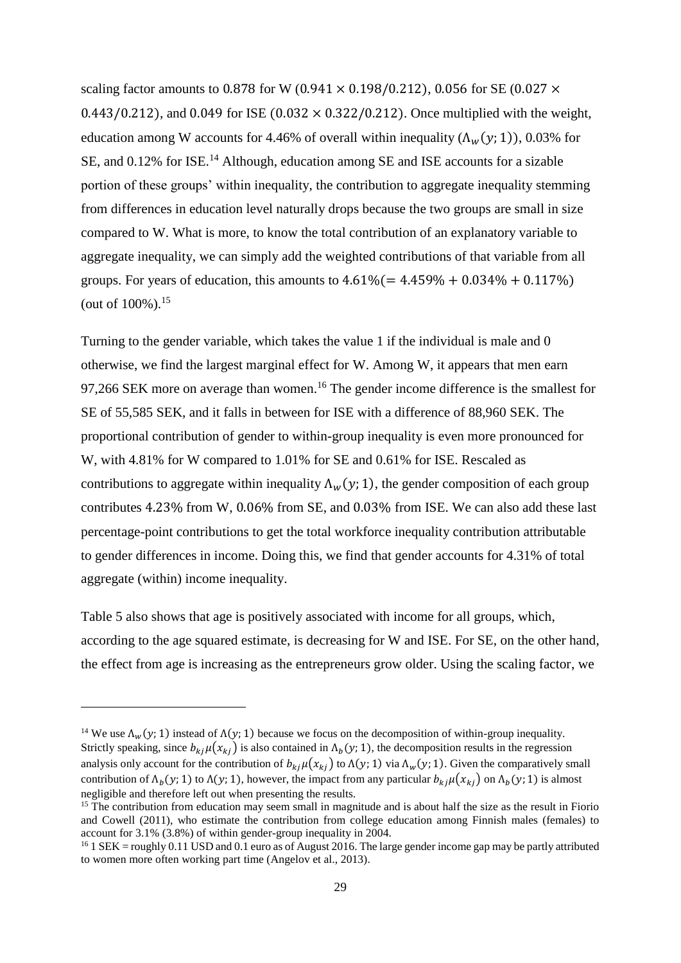scaling factor amounts to 0.878 for W (0.941  $\times$  0.198/0.212), 0.056 for SE (0.027  $\times$ 0.443/0.212), and 0.049 for ISE  $(0.032 \times 0.322/0.212)$ . Once multiplied with the weight, education among W accounts for 4.46% of overall within inequality  $(\Lambda_w(y; 1))$ , 0.03% for SE, and 0.12% for ISE.<sup>14</sup> Although, education among SE and ISE accounts for a sizable portion of these groups' within inequality, the contribution to aggregate inequality stemming from differences in education level naturally drops because the two groups are small in size compared to W. What is more, to know the total contribution of an explanatory variable to aggregate inequality, we can simply add the weighted contributions of that variable from all groups. For years of education, this amounts to  $4.61\% (= 4.459\% + 0.034\% + 0.117\%)$ (out of  $100\%$ ).<sup>15</sup>

Turning to the gender variable, which takes the value 1 if the individual is male and 0 otherwise, we find the largest marginal effect for W. Among W, it appears that men earn 97,266 SEK more on average than women.<sup>16</sup> The gender income difference is the smallest for SE of 55,585 SEK, and it falls in between for ISE with a difference of 88,960 SEK. The proportional contribution of gender to within-group inequality is even more pronounced for W, with 4.81% for W compared to 1.01% for SE and 0.61% for ISE. Rescaled as contributions to aggregate within inequality  $\Lambda_w(y; 1)$ , the gender composition of each group contributes 4.23% from W, 0.06% from SE, and 0.03% from ISE. We can also add these last percentage-point contributions to get the total workforce inequality contribution attributable to gender differences in income. Doing this, we find that gender accounts for 4.31% of total aggregate (within) income inequality.

Table 5 also shows that age is positively associated with income for all groups, which, according to the age squared estimate, is decreasing for W and ISE. For SE, on the other hand, the effect from age is increasing as the entrepreneurs grow older. Using the scaling factor, we

-

<sup>&</sup>lt;sup>14</sup> We use  $\Lambda_w(y; 1)$  instead of  $\Lambda(y; 1)$  because we focus on the decomposition of within-group inequality. Strictly speaking, since  $b_{kj}\mu(x_{kj})$  is also contained in  $\Lambda_b(y; 1)$ , the decomposition results in the regression analysis only account for the contribution of  $b_{ki}\mu(x_{ki})$  to  $\Lambda(y; 1)$  via  $\Lambda_w(y; 1)$ . Given the comparatively small contribution of  $\Lambda_b(y; 1)$  to  $\Lambda(y; 1)$ , however, the impact from any particular  $b_{kj}\mu(x_{kj})$  on  $\Lambda_b(y; 1)$  is almost negligible and therefore left out when presenting the results.

 $15$  The contribution from education may seem small in magnitude and is about half the size as the result in Fiorio and Cowell (2011), who estimate the contribution from college education among Finnish males (females) to account for 3.1% (3.8%) of within gender-group inequality in 2004.

 $16$  1 SEK = roughly 0.11 USD and 0.1 euro as of August 2016. The large gender income gap may be partly attributed to women more often working part time (Angelov et al., 2013).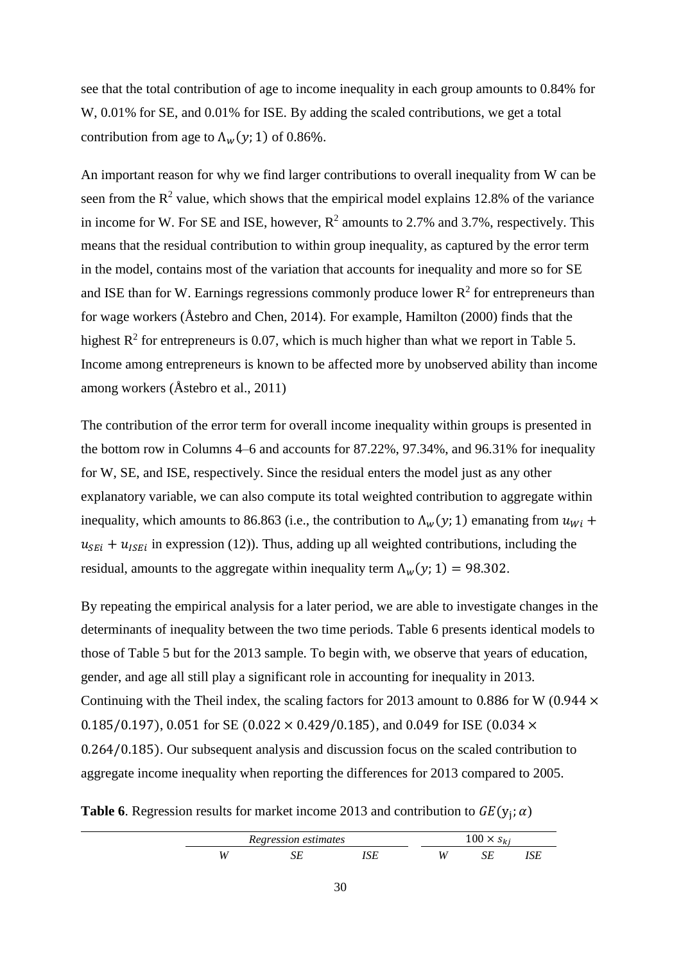see that the total contribution of age to income inequality in each group amounts to 0.84% for W, 0.01% for SE, and 0.01% for ISE. By adding the scaled contributions, we get a total contribution from age to  $\Lambda_w(y; 1)$  of 0.86%.

An important reason for why we find larger contributions to overall inequality from W can be seen from the  $R^2$  value, which shows that the empirical model explains 12.8% of the variance in income for W. For SE and ISE, however,  $\mathbb{R}^2$  amounts to 2.7% and 3.7%, respectively. This means that the residual contribution to within group inequality, as captured by the error term in the model, contains most of the variation that accounts for inequality and more so for SE and ISE than for W. Earnings regressions commonly produce lower  $R^2$  for entrepreneurs than for wage workers (Åstebro and Chen, 2014). For example, Hamilton (2000) finds that the highest  $R^2$  for entrepreneurs is 0.07, which is much higher than what we report in Table 5. Income among entrepreneurs is known to be affected more by unobserved ability than income among workers (Åstebro et al., 2011)

The contribution of the error term for overall income inequality within groups is presented in the bottom row in Columns 4–6 and accounts for 87.22%, 97.34%, and 96.31% for inequality for W, SE, and ISE, respectively. Since the residual enters the model just as any other explanatory variable, we can also compute its total weighted contribution to aggregate within inequality, which amounts to 86.863 (i.e., the contribution to  $\Lambda_w(y; 1)$  emanating from  $u_{wi}$  +  $u_{SEi} + u_{ISEi}$  in expression (12)). Thus, adding up all weighted contributions, including the residual, amounts to the aggregate within inequality term  $\Lambda_w(y; 1) = 98.302$ .

By repeating the empirical analysis for a later period, we are able to investigate changes in the determinants of inequality between the two time periods. Table 6 presents identical models to those of Table 5 but for the 2013 sample. To begin with, we observe that years of education, gender, and age all still play a significant role in accounting for inequality in 2013. Continuing with the Theil index, the scaling factors for 2013 amount to 0.886 for W (0.944  $\times$ 0.185/0.197), 0.051 for SE (0.022  $\times$  0.429/0.185), and 0.049 for ISE (0.034  $\times$ 0.264/0.185). Our subsequent analysis and discussion focus on the scaled contribution to aggregate income inequality when reporting the differences for 2013 compared to 2005.

**Table 6**. Regression results for market income 2013 and contribution to  $GE(y_j; \alpha)$ 

| Regression estimates |  | 100.7 |  |  |
|----------------------|--|-------|--|--|
|                      |  | и     |  |  |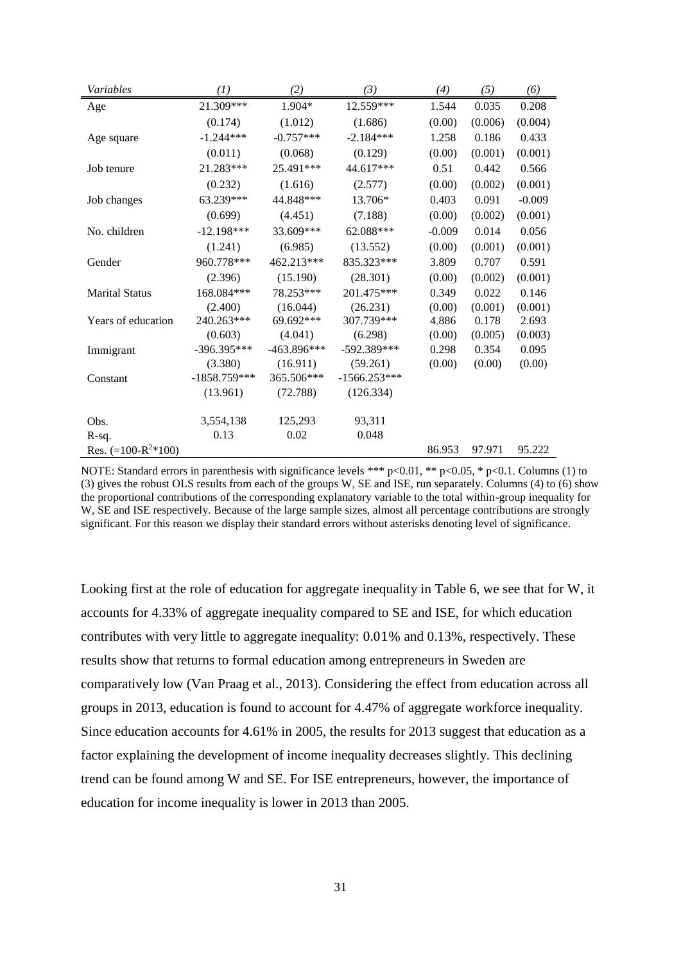| Variables               | (1)            | (2)           | (3)            | (4)      | (5)     | (6)      |
|-------------------------|----------------|---------------|----------------|----------|---------|----------|
| Age                     | 21.309***      | 1.904*        | 12.559***      | 1.544    | 0.035   | 0.208    |
|                         | (0.174)        | (1.012)       | (1.686)        | (0.00)   | (0.006) | (0.004)  |
| Age square              | $-1.244***$    | $-0.757***$   | $-2.184***$    | 1.258    | 0.186   | 0.433    |
|                         | (0.011)        | (0.068)       | (0.129)        | (0.00)   | (0.001) | (0.001)  |
| Job tenure              | 21.283***      | 25.491***     | 44.617***      | 0.51     | 0.442   | 0.566    |
|                         | (0.232)        | (1.616)       | (2.577)        | (0.00)   | (0.002) | (0.001)  |
| Job changes             | 63.239***      | 44.848***     | 13.706*        | 0.403    | 0.091   | $-0.009$ |
|                         | (0.699)        | (4.451)       | (7.188)        | (0.00)   | (0.002) | (0.001)  |
| No. children            | $-12.198***$   | 33.609***     | 62.088***      | $-0.009$ | 0.014   | 0.056    |
|                         | (1.241)        | (6.985)       | (13.552)       | (0.00)   | (0.001) | (0.001)  |
| Gender                  | 960.778***     | 462.213***    | 835.323***     | 3.809    | 0.707   | 0.591    |
|                         | (2.396)        | (15.190)      | (28.301)       | (0.00)   | (0.002) | (0.001)  |
| <b>Marital Status</b>   | 168.084***     | 78.253***     | 201.475***     | 0.349    | 0.022   | 0.146    |
|                         | (2.400)        | (16.044)      | (26.231)       | (0.00)   | (0.001) | (0.001)  |
| Years of education      | 240.263***     | 69.692***     | 307.739***     | 4.886    | 0.178   | 2.693    |
|                         | (0.603)        | (4.041)       | (6.298)        | (0.00)   | (0.005) | (0.003)  |
| Immigrant               | -396.395***    | $-463.896***$ | -592.389***    | 0.298    | 0.354   | 0.095    |
|                         | (3.380)        | (16.911)      | (59.261)       | (0.00)   | (0.00)  | (0.00)   |
| Constant                | $-1858.759***$ | 365.506***    | $-1566.253***$ |          |         |          |
|                         | (13.961)       | (72.788)      | (126.334)      |          |         |          |
|                         |                |               |                |          |         |          |
| Obs.                    | 3,554,138      | 125,293       | 93,311         |          |         |          |
| $R-sq.$                 | 0.13           | 0.02          | 0.048          |          |         |          |
| Res. $(=100-R^{2}*100)$ |                |               |                | 86.953   | 97.971  | 95.222   |

NOTE: Standard errors in parenthesis with significance levels \*\*\* p<0.01, \*\* p<0.05, \* p<0.1. Columns (1) to (3) gives the robust OLS results from each of the groups W, SE and ISE, run separately. Columns (4) to (6) show the proportional contributions of the corresponding explanatory variable to the total within-group inequality for W, SE and ISE respectively. Because of the large sample sizes, almost all percentage contributions are strongly significant. For this reason we display their standard errors without asterisks denoting level of significance.

Looking first at the role of education for aggregate inequality in Table 6, we see that for W, it accounts for 4.33% of aggregate inequality compared to SE and ISE, for which education contributes with very little to aggregate inequality: 0.01% and 0.13%, respectively. These results show that returns to formal education among entrepreneurs in Sweden are comparatively low (Van Praag et al., 2013). Considering the effect from education across all groups in 2013, education is found to account for 4.47% of aggregate workforce inequality. Since education accounts for 4.61% in 2005, the results for 2013 suggest that education as a factor explaining the development of income inequality decreases slightly. This declining trend can be found among W and SE. For ISE entrepreneurs, however, the importance of education for income inequality is lower in 2013 than 2005.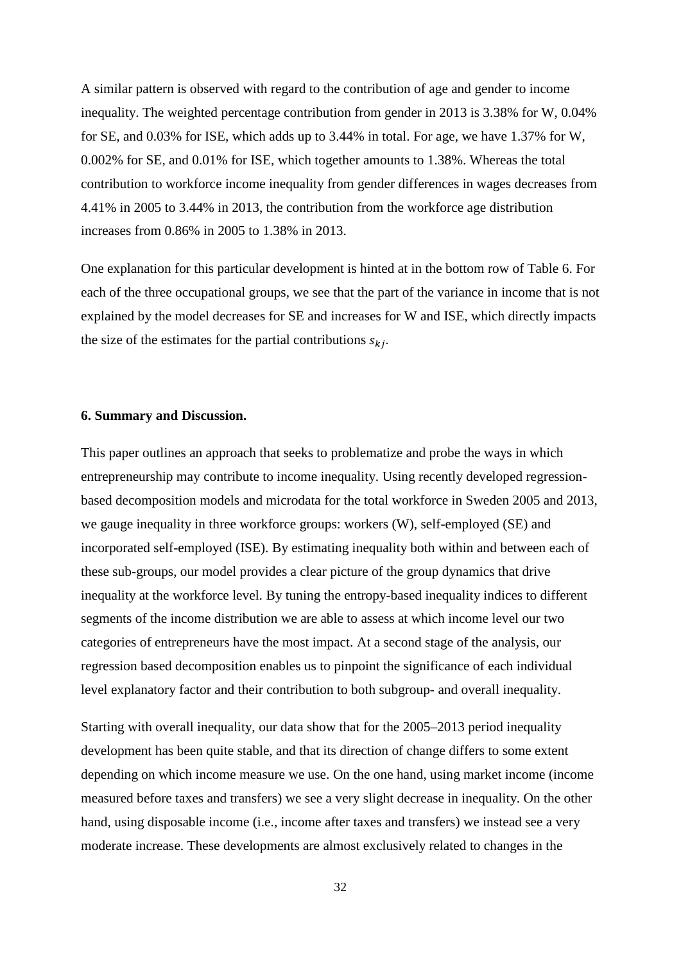A similar pattern is observed with regard to the contribution of age and gender to income inequality. The weighted percentage contribution from gender in 2013 is 3.38% for W, 0.04% for SE, and 0.03% for ISE, which adds up to 3.44% in total. For age, we have 1.37% for W, 0.002% for SE, and 0.01% for ISE, which together amounts to 1.38%. Whereas the total contribution to workforce income inequality from gender differences in wages decreases from 4.41% in 2005 to 3.44% in 2013, the contribution from the workforce age distribution increases from 0.86% in 2005 to 1.38% in 2013.

One explanation for this particular development is hinted at in the bottom row of Table 6. For each of the three occupational groups, we see that the part of the variance in income that is not explained by the model decreases for SE and increases for W and ISE, which directly impacts the size of the estimates for the partial contributions  $s_{kj}$ .

### **6. Summary and Discussion.**

This paper outlines an approach that seeks to problematize and probe the ways in which entrepreneurship may contribute to income inequality. Using recently developed regressionbased decomposition models and microdata for the total workforce in Sweden 2005 and 2013, we gauge inequality in three workforce groups: workers (W), self-employed (SE) and incorporated self-employed (ISE). By estimating inequality both within and between each of these sub-groups, our model provides a clear picture of the group dynamics that drive inequality at the workforce level. By tuning the entropy-based inequality indices to different segments of the income distribution we are able to assess at which income level our two categories of entrepreneurs have the most impact. At a second stage of the analysis, our regression based decomposition enables us to pinpoint the significance of each individual level explanatory factor and their contribution to both subgroup- and overall inequality.

Starting with overall inequality, our data show that for the 2005–2013 period inequality development has been quite stable, and that its direction of change differs to some extent depending on which income measure we use. On the one hand, using market income (income measured before taxes and transfers) we see a very slight decrease in inequality. On the other hand, using disposable income (i.e., income after taxes and transfers) we instead see a very moderate increase. These developments are almost exclusively related to changes in the

32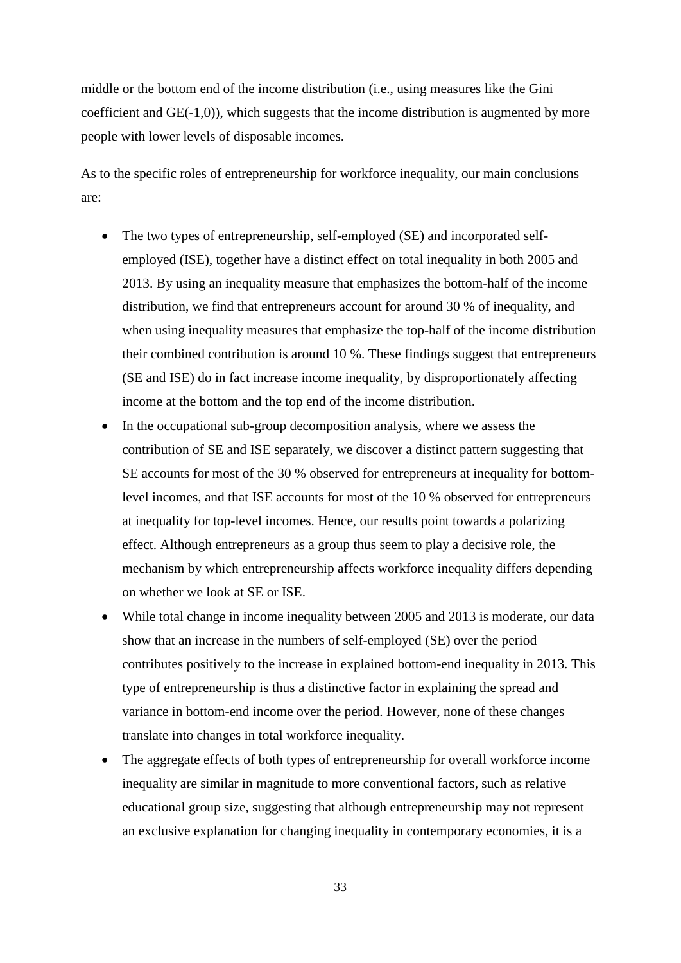middle or the bottom end of the income distribution (i.e., using measures like the Gini coefficient and GE(-1,0)), which suggests that the income distribution is augmented by more people with lower levels of disposable incomes.

As to the specific roles of entrepreneurship for workforce inequality, our main conclusions are:

- The two types of entrepreneurship, self-employed (SE) and incorporated selfemployed (ISE), together have a distinct effect on total inequality in both 2005 and 2013. By using an inequality measure that emphasizes the bottom-half of the income distribution, we find that entrepreneurs account for around 30 % of inequality, and when using inequality measures that emphasize the top-half of the income distribution their combined contribution is around 10 %. These findings suggest that entrepreneurs (SE and ISE) do in fact increase income inequality, by disproportionately affecting income at the bottom and the top end of the income distribution.
- In the occupational sub-group decomposition analysis, where we assess the contribution of SE and ISE separately, we discover a distinct pattern suggesting that SE accounts for most of the 30 % observed for entrepreneurs at inequality for bottomlevel incomes, and that ISE accounts for most of the 10 % observed for entrepreneurs at inequality for top-level incomes. Hence, our results point towards a polarizing effect. Although entrepreneurs as a group thus seem to play a decisive role, the mechanism by which entrepreneurship affects workforce inequality differs depending on whether we look at SE or ISE.
- While total change in income inequality between 2005 and 2013 is moderate, our data show that an increase in the numbers of self-employed (SE) over the period contributes positively to the increase in explained bottom-end inequality in 2013. This type of entrepreneurship is thus a distinctive factor in explaining the spread and variance in bottom-end income over the period. However, none of these changes translate into changes in total workforce inequality.
- The aggregate effects of both types of entrepreneurship for overall workforce income inequality are similar in magnitude to more conventional factors, such as relative educational group size, suggesting that although entrepreneurship may not represent an exclusive explanation for changing inequality in contemporary economies, it is a

33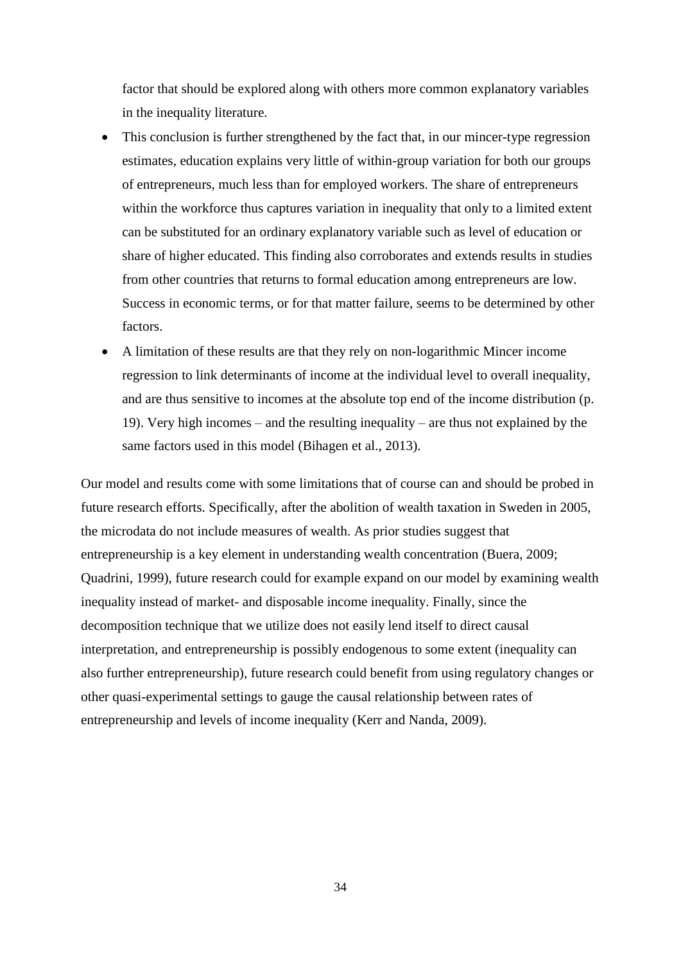factor that should be explored along with others more common explanatory variables in the inequality literature.

- This conclusion is further strengthened by the fact that, in our mincer-type regression estimates, education explains very little of within-group variation for both our groups of entrepreneurs, much less than for employed workers. The share of entrepreneurs within the workforce thus captures variation in inequality that only to a limited extent can be substituted for an ordinary explanatory variable such as level of education or share of higher educated. This finding also corroborates and extends results in studies from other countries that returns to formal education among entrepreneurs are low. Success in economic terms, or for that matter failure, seems to be determined by other factors.
- A limitation of these results are that they rely on non-logarithmic Mincer income regression to link determinants of income at the individual level to overall inequality, and are thus sensitive to incomes at the absolute top end of the income distribution (p. 19). Very high incomes – and the resulting inequality – are thus not explained by the same factors used in this model (Bihagen et al., 2013).

Our model and results come with some limitations that of course can and should be probed in future research efforts. Specifically, after the abolition of wealth taxation in Sweden in 2005, the microdata do not include measures of wealth. As prior studies suggest that entrepreneurship is a key element in understanding wealth concentration (Buera, 2009; Quadrini, 1999), future research could for example expand on our model by examining wealth inequality instead of market- and disposable income inequality. Finally, since the decomposition technique that we utilize does not easily lend itself to direct causal interpretation, and entrepreneurship is possibly endogenous to some extent (inequality can also further entrepreneurship), future research could benefit from using regulatory changes or other quasi-experimental settings to gauge the causal relationship between rates of entrepreneurship and levels of income inequality (Kerr and Nanda, 2009).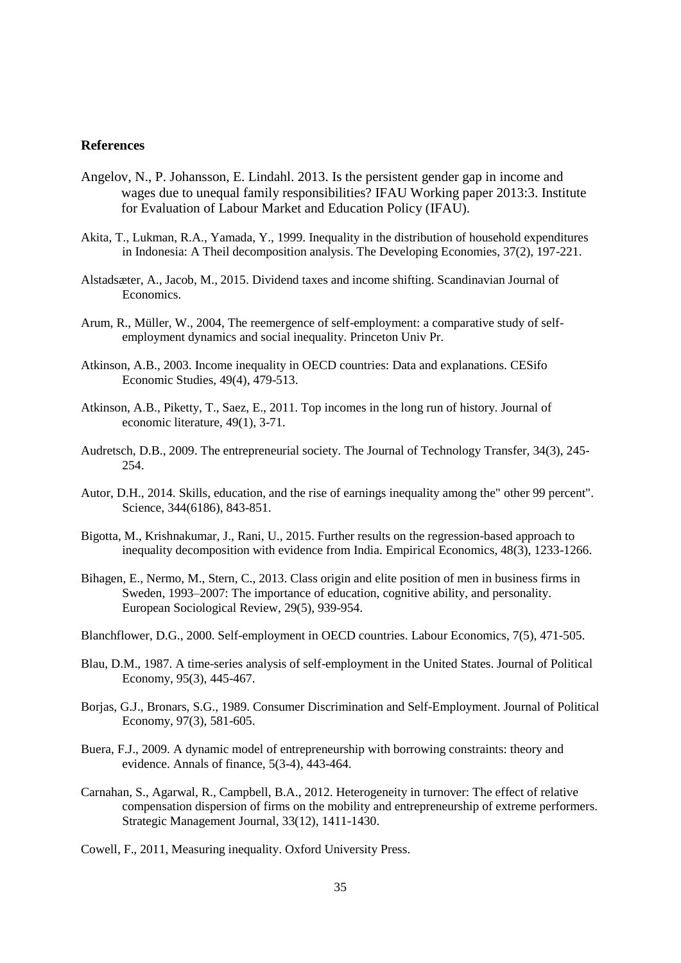### **References**

- Angelov, N., P. Johansson, E. Lindahl. 2013. Is the persistent gender gap in income and wages due to unequal family responsibilities? IFAU Working paper 2013:3. Institute for Evaluation of Labour Market and Education Policy (IFAU).
- Akita, T., Lukman, R.A., Yamada, Y., 1999. Inequality in the distribution of household expenditures in Indonesia: A Theil decomposition analysis. The Developing Economies, 37(2), 197-221.
- Alstadsæter, A., Jacob, M., 2015. Dividend taxes and income shifting. Scandinavian Journal of Economics.
- Arum, R., Müller, W., 2004, The reemergence of self-employment: a comparative study of selfemployment dynamics and social inequality. Princeton Univ Pr.
- Atkinson, A.B., 2003. Income inequality in OECD countries: Data and explanations. CESifo Economic Studies, 49(4), 479-513.
- Atkinson, A.B., Piketty, T., Saez, E., 2011. Top incomes in the long run of history. Journal of economic literature, 49(1), 3-71.
- Audretsch, D.B., 2009. The entrepreneurial society. The Journal of Technology Transfer, 34(3), 245- 254.
- Autor, D.H., 2014. Skills, education, and the rise of earnings inequality among the" other 99 percent". Science, 344(6186), 843-851.
- Bigotta, M., Krishnakumar, J., Rani, U., 2015. Further results on the regression-based approach to inequality decomposition with evidence from India. Empirical Economics, 48(3), 1233-1266.
- Bihagen, E., Nermo, M., Stern, C., 2013. Class origin and elite position of men in business firms in Sweden, 1993–2007: The importance of education, cognitive ability, and personality. European Sociological Review, 29(5), 939-954.
- Blanchflower, D.G., 2000. Self-employment in OECD countries. Labour Economics, 7(5), 471-505.
- Blau, D.M., 1987. A time-series analysis of self-employment in the United States. Journal of Political Economy, 95(3), 445-467.
- Borjas, G.J., Bronars, S.G., 1989. Consumer Discrimination and Self-Employment. Journal of Political Economy, 97(3), 581-605.
- Buera, F.J., 2009. A dynamic model of entrepreneurship with borrowing constraints: theory and evidence. Annals of finance, 5(3-4), 443-464.
- Carnahan, S., Agarwal, R., Campbell, B.A., 2012. Heterogeneity in turnover: The effect of relative compensation dispersion of firms on the mobility and entrepreneurship of extreme performers. Strategic Management Journal, 33(12), 1411-1430.
- Cowell, F., 2011, Measuring inequality. Oxford University Press.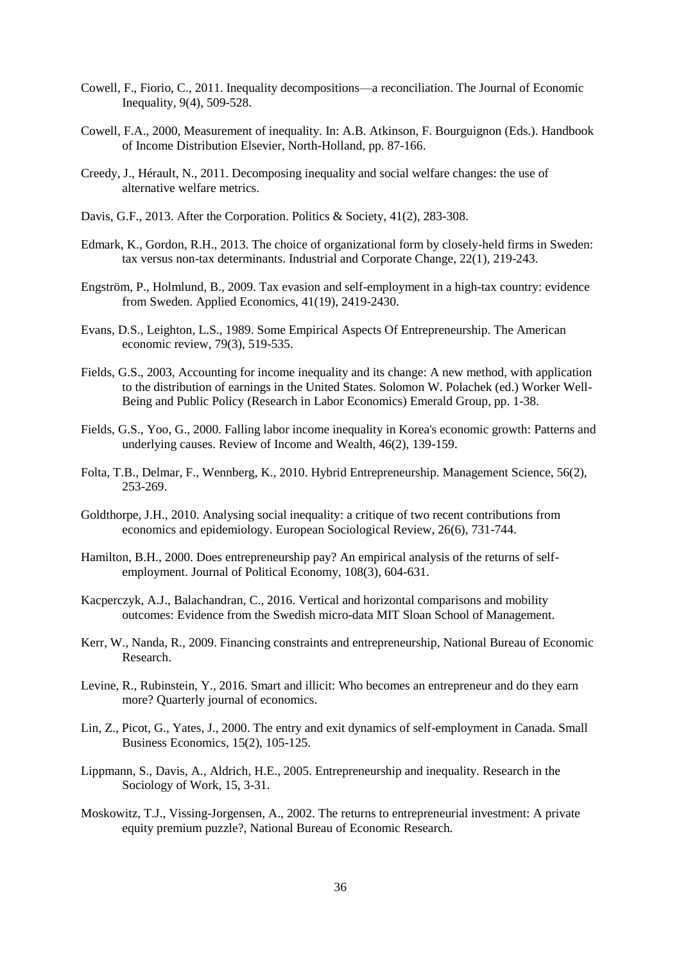- Cowell, F., Fiorio, C., 2011. Inequality decompositions—a reconciliation. The Journal of Economic Inequality, 9(4), 509-528.
- Cowell, F.A., 2000, Measurement of inequality. In: A.B. Atkinson, F. Bourguignon (Eds.). Handbook of Income Distribution Elsevier, North-Holland, pp. 87-166.
- Creedy, J., Hérault, N., 2011. Decomposing inequality and social welfare changes: the use of alternative welfare metrics.
- Davis, G.F., 2013. After the Corporation. Politics & Society, 41(2), 283-308.
- Edmark, K., Gordon, R.H., 2013. The choice of organizational form by closely-held firms in Sweden: tax versus non-tax determinants. Industrial and Corporate Change, 22(1), 219-243.
- Engström, P., Holmlund, B., 2009. Tax evasion and self-employment in a high-tax country: evidence from Sweden. Applied Economics, 41(19), 2419-2430.
- Evans, D.S., Leighton, L.S., 1989. Some Empirical Aspects Of Entrepreneurship. The American economic review, 79(3), 519-535.
- Fields, G.S., 2003, Accounting for income inequality and its change: A new method, with application to the distribution of earnings in the United States. Solomon W. Polachek (ed.) Worker Well-Being and Public Policy (Research in Labor Economics) Emerald Group, pp. 1-38.
- Fields, G.S., Yoo, G., 2000. Falling labor income inequality in Korea's economic growth: Patterns and underlying causes. Review of Income and Wealth, 46(2), 139-159.
- Folta, T.B., Delmar, F., Wennberg, K., 2010. Hybrid Entrepreneurship. Management Science, 56(2), 253-269.
- Goldthorpe, J.H., 2010. Analysing social inequality: a critique of two recent contributions from economics and epidemiology. European Sociological Review, 26(6), 731-744.
- Hamilton, B.H., 2000. Does entrepreneurship pay? An empirical analysis of the returns of selfemployment. Journal of Political Economy, 108(3), 604-631.
- Kacperczyk, A.J., Balachandran, C., 2016. Vertical and horizontal comparisons and mobility outcomes: Evidence from the Swedish micro-data MIT Sloan School of Management.
- Kerr, W., Nanda, R., 2009. Financing constraints and entrepreneurship, National Bureau of Economic Research.
- Levine, R., Rubinstein, Y., 2016. Smart and illicit: Who becomes an entrepreneur and do they earn more? Quarterly journal of economics.
- Lin, Z., Picot, G., Yates, J., 2000. The entry and exit dynamics of self-employment in Canada. Small Business Economics, 15(2), 105-125.
- Lippmann, S., Davis, A., Aldrich, H.E., 2005. Entrepreneurship and inequality. Research in the Sociology of Work, 15, 3-31.
- Moskowitz, T.J., Vissing-Jorgensen, A., 2002. The returns to entrepreneurial investment: A private equity premium puzzle?, National Bureau of Economic Research.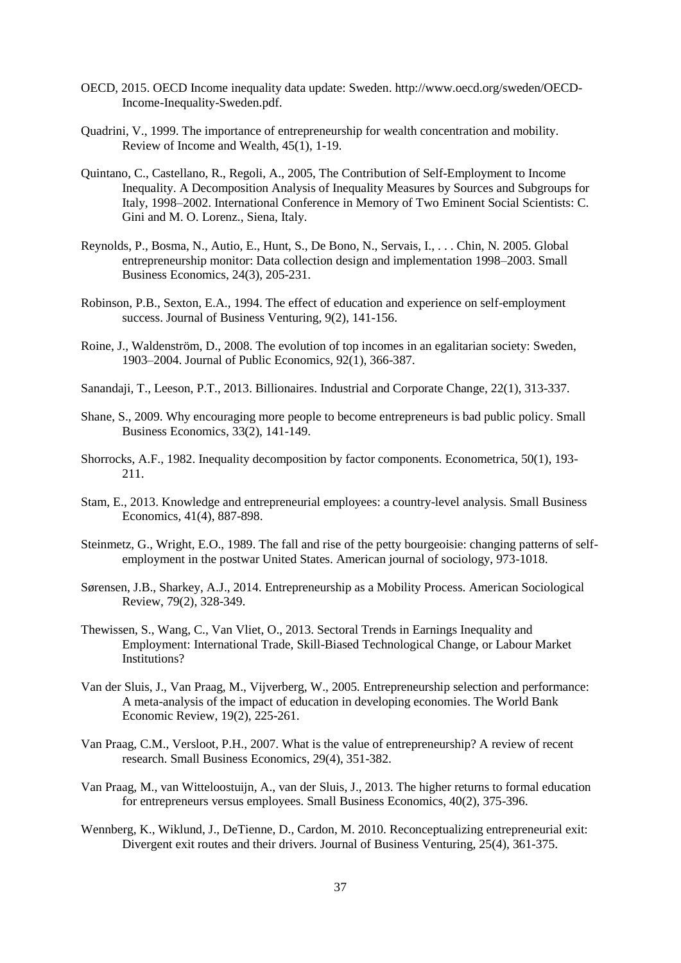- OECD, 2015. OECD Income inequality data update: Sweden. http://www.oecd.org/sweden/OECD-Income-Inequality-Sweden.pdf.
- Quadrini, V., 1999. The importance of entrepreneurship for wealth concentration and mobility. Review of Income and Wealth, 45(1), 1-19.
- Quintano, C., Castellano, R., Regoli, A., 2005, The Contribution of Self-Employment to Income Inequality. A Decomposition Analysis of Inequality Measures by Sources and Subgroups for Italy, 1998–2002. International Conference in Memory of Two Eminent Social Scientists: C. Gini and M. O. Lorenz., Siena, Italy.
- Reynolds, P., Bosma, N., Autio, E., Hunt, S., De Bono, N., Servais, I., . . . Chin, N. 2005. Global entrepreneurship monitor: Data collection design and implementation 1998–2003. Small Business Economics, 24(3), 205-231.
- Robinson, P.B., Sexton, E.A., 1994. The effect of education and experience on self-employment success. Journal of Business Venturing, 9(2), 141-156.
- Roine, J., Waldenström, D., 2008. The evolution of top incomes in an egalitarian society: Sweden, 1903–2004. Journal of Public Economics, 92(1), 366-387.
- Sanandaji, T., Leeson, P.T., 2013. Billionaires. Industrial and Corporate Change, 22(1), 313-337.
- Shane, S., 2009. Why encouraging more people to become entrepreneurs is bad public policy. Small Business Economics, 33(2), 141-149.
- Shorrocks, A.F., 1982. Inequality decomposition by factor components. Econometrica, 50(1), 193- 211.
- Stam, E., 2013. Knowledge and entrepreneurial employees: a country-level analysis. Small Business Economics, 41(4), 887-898.
- Steinmetz, G., Wright, E.O., 1989. The fall and rise of the petty bourgeoisie: changing patterns of selfemployment in the postwar United States. American journal of sociology, 973-1018.
- Sørensen, J.B., Sharkey, A.J., 2014. Entrepreneurship as a Mobility Process. American Sociological Review, 79(2), 328-349.
- Thewissen, S., Wang, C., Van Vliet, O., 2013. Sectoral Trends in Earnings Inequality and Employment: International Trade, Skill-Biased Technological Change, or Labour Market Institutions?
- Van der Sluis, J., Van Praag, M., Vijverberg, W., 2005. Entrepreneurship selection and performance: A meta-analysis of the impact of education in developing economies. The World Bank Economic Review, 19(2), 225-261.
- Van Praag, C.M., Versloot, P.H., 2007. What is the value of entrepreneurship? A review of recent research. Small Business Economics, 29(4), 351-382.
- Van Praag, M., van Witteloostuijn, A., van der Sluis, J., 2013. The higher returns to formal education for entrepreneurs versus employees. Small Business Economics, 40(2), 375-396.
- Wennberg, K., Wiklund, J., DeTienne, D., Cardon, M. 2010. Reconceptualizing entrepreneurial exit: Divergent exit routes and their drivers. Journal of Business Venturing, 25(4), 361-375.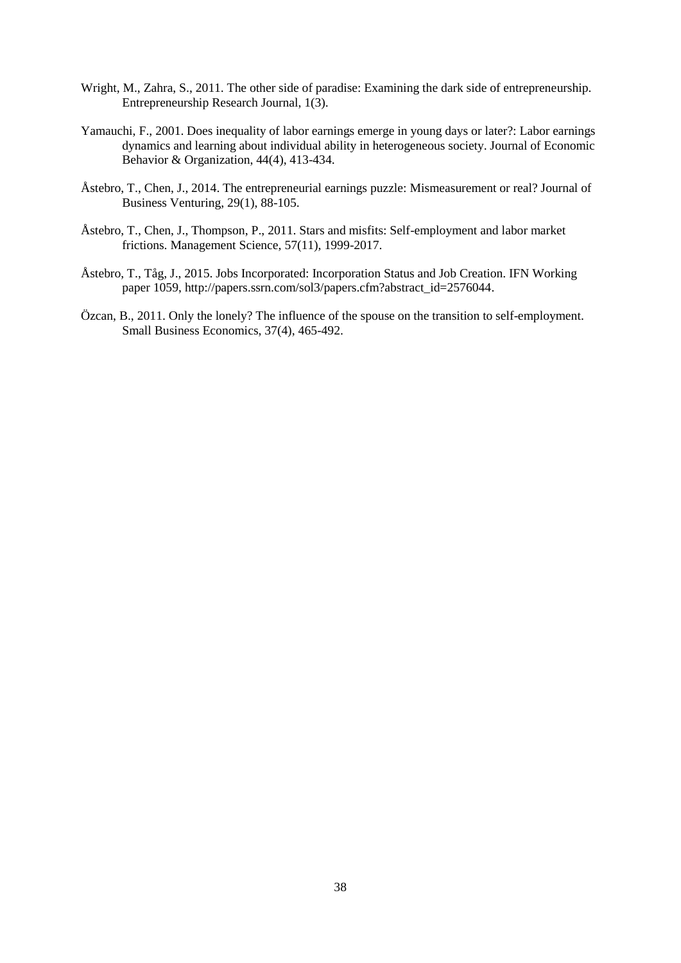- Wright, M., Zahra, S., 2011. The other side of paradise: Examining the dark side of entrepreneurship. Entrepreneurship Research Journal, 1(3).
- Yamauchi, F., 2001. Does inequality of labor earnings emerge in young days or later?: Labor earnings dynamics and learning about individual ability in heterogeneous society. Journal of Economic Behavior & Organization, 44(4), 413-434.
- Åstebro, T., Chen, J., 2014. The entrepreneurial earnings puzzle: Mismeasurement or real? Journal of Business Venturing, 29(1), 88-105.
- Åstebro, T., Chen, J., Thompson, P., 2011. Stars and misfits: Self-employment and labor market frictions. Management Science, 57(11), 1999-2017.
- Åstebro, T., Tåg, J., 2015. Jobs Incorporated: Incorporation Status and Job Creation. IFN Working paper 1059, http://papers.ssrn.com/sol3/papers.cfm?abstract\_id=2576044.
- Özcan, B., 2011. Only the lonely? The influence of the spouse on the transition to self-employment. Small Business Economics, 37(4), 465-492.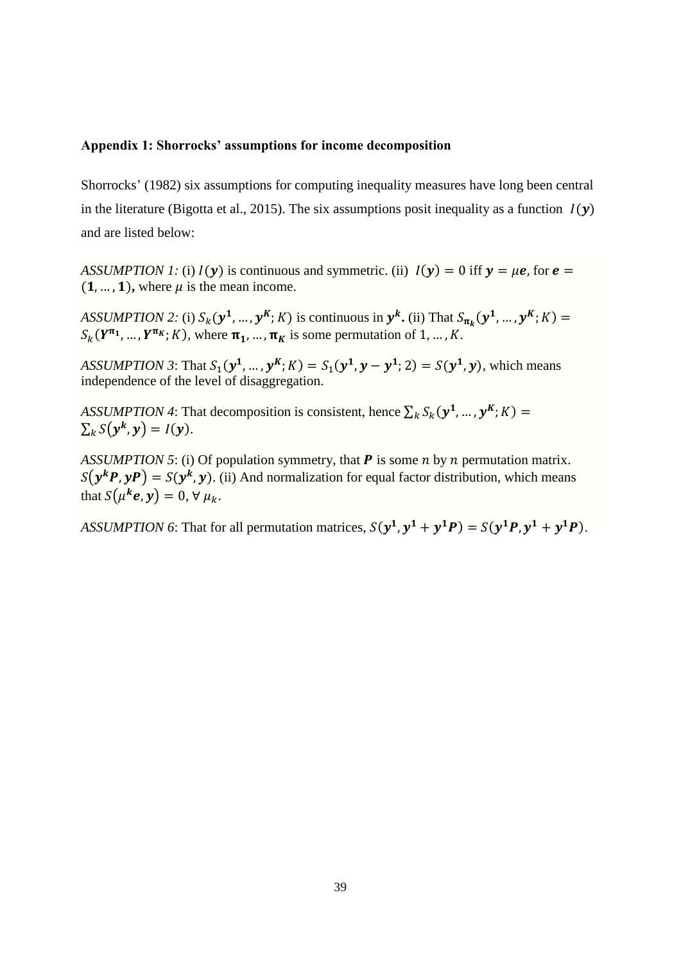### **Appendix 1: Shorrocks' assumptions for income decomposition**

Shorrocks' (1982) six assumptions for computing inequality measures have long been central in the literature (Bigotta et al., 2015). The six assumptions posit inequality as a function  $I(y)$ and are listed below:

*ASSUMPTION 1:* (i)  $I(y)$  is continuous and symmetric. (ii)  $I(y) = 0$  iff  $y = \mu e$ , for  $e =$  $(1, ..., 1)$ , where  $\mu$  is the mean income.

ASSUMPTION 2: (i)  $S_k(\mathbf{y}^1, ..., \mathbf{y}^K; K)$  is continuous in  $\mathbf{y}^k$ . (ii) That  $S_{\pi_k}(\mathbf{y}^1, ..., \mathbf{y}^K; K)$  =  $S_k(Y^{\pi_1}, ..., Y^{\pi_K}; K)$ , where  $\pi_1, ..., \pi_K$  is some permutation of 1, ..., K.

*ASSUMPTION 3*: That  $S_1(y^1, ..., y^K; K) = S_1(y^1, y - y^1; 2) = S(y^1, y)$ , which means independence of the level of disaggregation.

*ASSUMPTION 4*: That decomposition is consistent, hence  $\sum_k S_k(\mathbf{y}^1, \dots, \mathbf{y}^K; K)$  =  $\sum_k S(y^k, y) = I(y).$ 

*ASSUMPTION 5*: (i) Of population symmetry, that  $P$  is some  $n$  by  $n$  permutation matrix.  $S(\mathbf{y}^k \mathbf{P}, \mathbf{y} \mathbf{P}) = S(\mathbf{y}^k, \mathbf{y})$ . (ii) And normalization for equal factor distribution, which means that  $S(\mu^k e, y) = 0, \forall \mu_k$ .

ASSUMPTION 6: That for all permutation matrices,  $S(y^1, y^1 + y^1P) = S(y^1P, y^1 + y^1P)$ .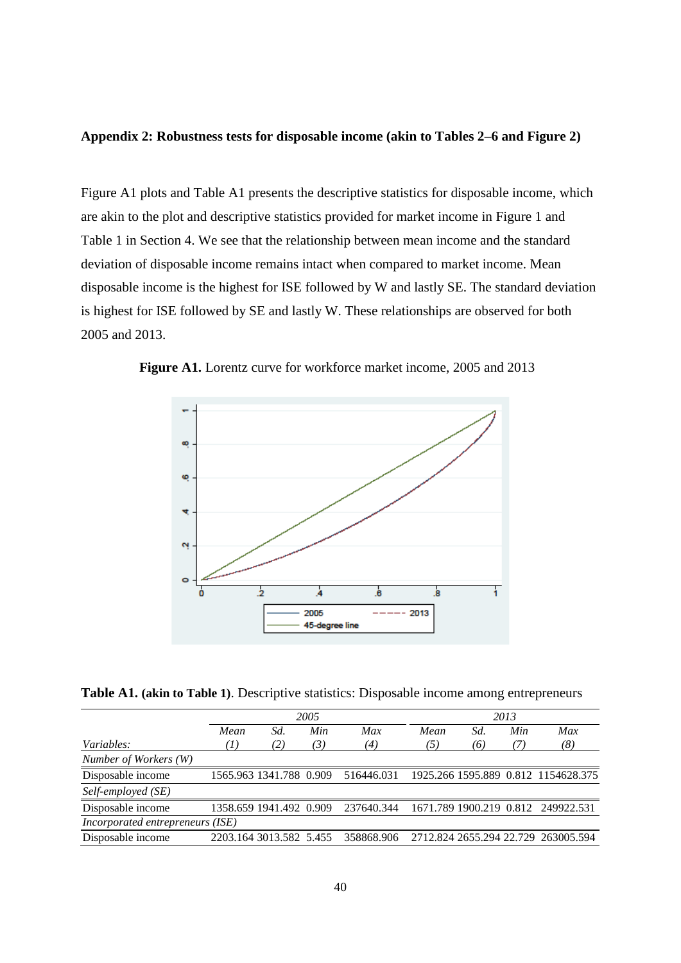### **Appendix 2: Robustness tests for disposable income (akin to Tables 2–6 and Figure 2)**

Figure A1 plots and Table A1 presents the descriptive statistics for disposable income, which are akin to the plot and descriptive statistics provided for market income in Figure 1 and Table 1 in Section 4. We see that the relationship between mean income and the standard deviation of disposable income remains intact when compared to market income. Mean disposable income is the highest for ISE followed by W and lastly SE. The standard deviation is highest for ISE followed by SE and lastly W. These relationships are observed for both 2005 and 2013.



 **Figure A1.** Lorentz curve for workforce market income, 2005 and 2013

**Table A1. (akin to Table 1)**. Descriptive statistics: Disposable income among entrepreneurs

|                                  | 2005             |                         |     |            | 2013 |     |     |                                     |  |
|----------------------------------|------------------|-------------------------|-----|------------|------|-----|-----|-------------------------------------|--|
|                                  | Mean             | Sd.                     | Min | Max        | Mean | Sd. | Min | Max                                 |  |
| Variables:                       | $\left(1\right)$ | (2)                     | (3) | (4)        | (5)  | (6) | (7) | (8)                                 |  |
| Number of Workers (W)            |                  |                         |     |            |      |     |     |                                     |  |
| Disposable income                |                  | 1565.963 1341.788 0.909 |     | 516446.031 |      |     |     | 1925.266 1595.889 0.812 1154628.375 |  |
| Self-employed (SE)               |                  |                         |     |            |      |     |     |                                     |  |
| Disposable income                |                  | 1358.659 1941.492 0.909 |     | 237640.344 |      |     |     | 1671.789 1900.219 0.812 249922.531  |  |
| Incorporated entrepreneurs (ISE) |                  |                         |     |            |      |     |     |                                     |  |
| Disposable income                |                  | 2203.164 3013.582 5.455 |     | 358868.906 |      |     |     | 2712.824 2655.294 22.729 263005.594 |  |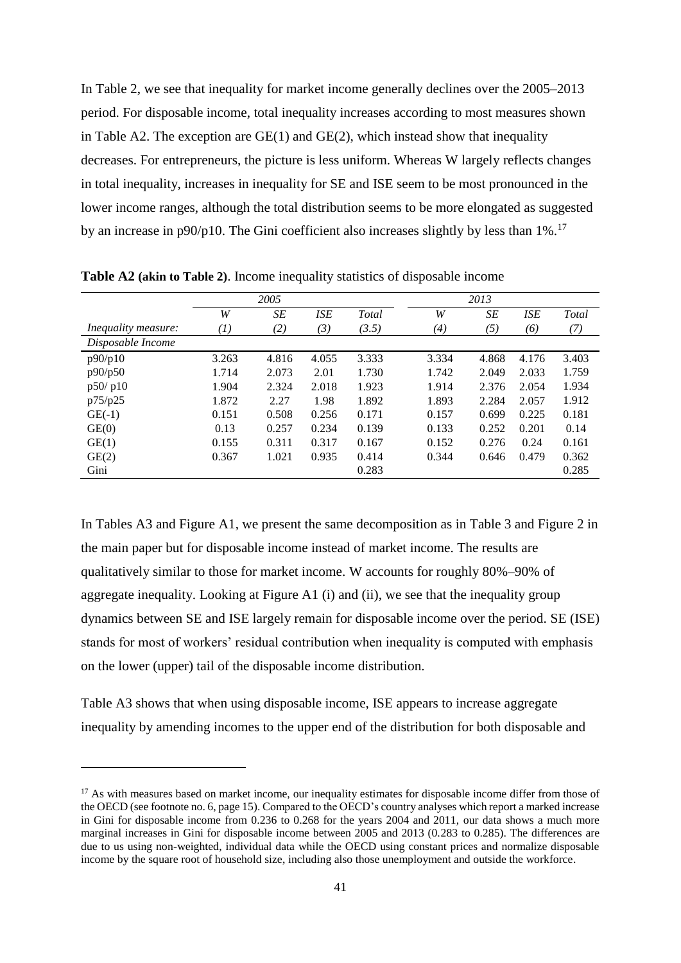In Table 2, we see that inequality for market income generally declines over the 2005–2013 period. For disposable income, total inequality increases according to most measures shown in Table A2. The exception are GE(1) and GE(2), which instead show that inequality decreases. For entrepreneurs, the picture is less uniform. Whereas W largely reflects changes in total inequality, increases in inequality for SE and ISE seem to be most pronounced in the lower income ranges, although the total distribution seems to be more elongated as suggested by an increase in p90/p10. The Gini coefficient also increases slightly by less than  $1\%$ .<sup>17</sup>

|                            |          | 2005      |            |       |       | 2013 |       |            |       |
|----------------------------|----------|-----------|------------|-------|-------|------|-------|------------|-------|
|                            | W        | <b>SE</b> | <b>ISE</b> | Total | W     |      | SE    | <b>ISE</b> | Total |
| <i>Inequality measure:</i> | $^{(1)}$ | (2)       | (3)        | (3.5) | (4)   |      | (5)   | (6)        | (7)   |
| Disposable Income          |          |           |            |       |       |      |       |            |       |
| p90/p10                    | 3.263    | 4.816     | 4.055      | 3.333 | 3.334 |      | 4.868 | 4.176      | 3.403 |
| p90/p50                    | 1.714    | 2.073     | 2.01       | 1.730 | 1.742 |      | 2.049 | 2.033      | 1.759 |
| p50/p10                    | 1.904    | 2.324     | 2.018      | 1.923 | 1.914 |      | 2.376 | 2.054      | 1.934 |
| p75/p25                    | 1.872    | 2.27      | 1.98       | 1.892 | 1.893 |      | 2.284 | 2.057      | 1.912 |
| $GE(-1)$                   | 0.151    | 0.508     | 0.256      | 0.171 | 0.157 |      | 0.699 | 0.225      | 0.181 |
| GE(0)                      | 0.13     | 0.257     | 0.234      | 0.139 | 0.133 |      | 0.252 | 0.201      | 0.14  |
| GE(1)                      | 0.155    | 0.311     | 0.317      | 0.167 | 0.152 |      | 0.276 | 0.24       | 0.161 |
| GE(2)                      | 0.367    | 1.021     | 0.935      | 0.414 | 0.344 |      | 0.646 | 0.479      | 0.362 |
| Gini                       |          |           |            | 0.283 |       |      |       |            | 0.285 |

**Table A2 (akin to Table 2)**. Income inequality statistics of disposable income

In Tables A3 and Figure A1, we present the same decomposition as in Table 3 and Figure 2 in the main paper but for disposable income instead of market income. The results are qualitatively similar to those for market income. W accounts for roughly 80%–90% of aggregate inequality. Looking at Figure A1 (i) and (ii), we see that the inequality group dynamics between SE and ISE largely remain for disposable income over the period. SE (ISE) stands for most of workers' residual contribution when inequality is computed with emphasis on the lower (upper) tail of the disposable income distribution.

Table A3 shows that when using disposable income, ISE appears to increase aggregate inequality by amending incomes to the upper end of the distribution for both disposable and

1

<sup>&</sup>lt;sup>17</sup> As with measures based on market income, our inequality estimates for disposable income differ from those of the OECD (see footnote no. 6, page 15). Compared to the OECD's country analyses which report a marked increase in Gini for disposable income from 0.236 to 0.268 for the years 2004 and 2011, our data shows a much more marginal increases in Gini for disposable income between 2005 and 2013 (0.283 to 0.285). The differences are due to us using non-weighted, individual data while the OECD using constant prices and normalize disposable income by the square root of household size, including also those unemployment and outside the workforce.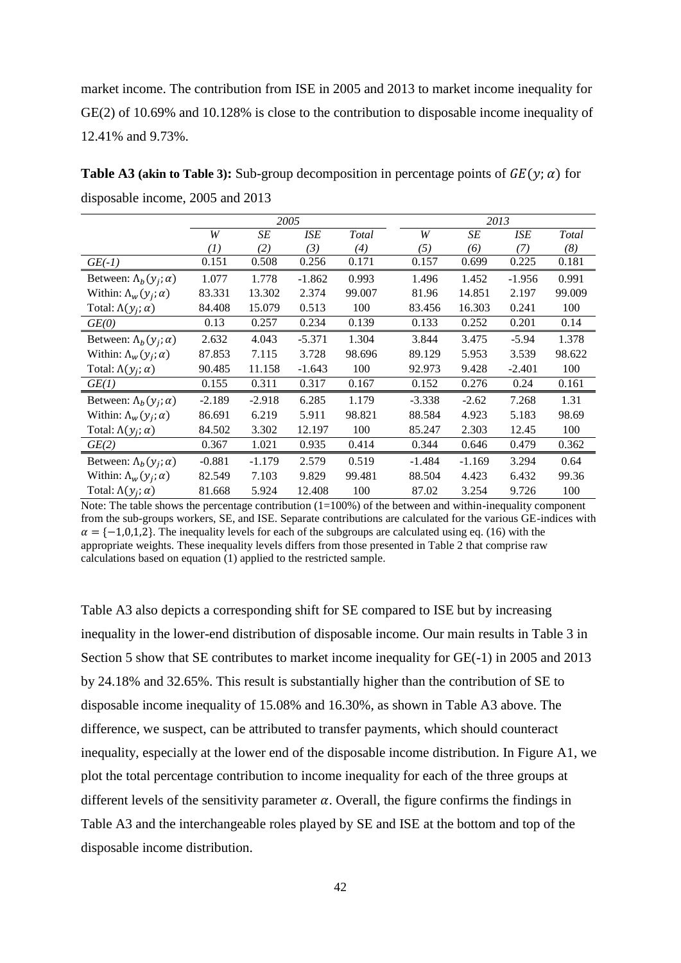market income. The contribution from ISE in 2005 and 2013 to market income inequality for GE(2) of 10.69% and 10.128% is close to the contribution to disposable income inequality of 12.41% and 9.73%.

**Table A3 (akin to Table 3):** Sub-group decomposition in percentage points of  $GE(y; \alpha)$  for disposable income, 2005 and 2013

|                                   |                   | 2005     |            |        |  |          | 2013     |          |        |
|-----------------------------------|-------------------|----------|------------|--------|--|----------|----------|----------|--------|
|                                   | W                 | SE       | <b>ISE</b> | Total  |  | W        | SE       | ISE      | Total  |
|                                   | $\left( I\right)$ | (2)      | (3)        | (4)    |  | (5)      | (6)      | (7)      | (8)    |
| $GE(-1)$                          | 0.151             | 0.508    | 0.256      | 0.171  |  | 0.157    | 0.699    | 0.225    | 0.181  |
| Between: $\Lambda_b(y_i; \alpha)$ | 1.077             | 1.778    | $-1.862$   | 0.993  |  | 1.496    | 1.452    | $-1.956$ | 0.991  |
| Within: $\Lambda_w(y_i; \alpha)$  | 83.331            | 13.302   | 2.374      | 99.007 |  | 81.96    | 14.851   | 2.197    | 99.009 |
| Total: $\Lambda(y_i; \alpha)$     | 84.408            | 15.079   | 0.513      | 100    |  | 83.456   | 16.303   | 0.241    | 100    |
| GE(0)                             | 0.13              | 0.257    | 0.234      | 0.139  |  | 0.133    | 0.252    | 0.201    | 0.14   |
| Between: $\Lambda_b(y_i; \alpha)$ | 2.632             | 4.043    | $-5.371$   | 1.304  |  | 3.844    | 3.475    | $-5.94$  | 1.378  |
| Within: $\Lambda_w(y_i; \alpha)$  | 87.853            | 7.115    | 3.728      | 98.696 |  | 89.129   | 5.953    | 3.539    | 98.622 |
| Total: $\Lambda(y_i; \alpha)$     | 90.485            | 11.158   | $-1.643$   | 100    |  | 92.973   | 9.428    | $-2.401$ | 100    |
| GE(1)                             | 0.155             | 0.311    | 0.317      | 0.167  |  | 0.152    | 0.276    | 0.24     | 0.161  |
| Between: $\Lambda_b(y_i; \alpha)$ | $-2.189$          | $-2.918$ | 6.285      | 1.179  |  | $-3.338$ | $-2.62$  | 7.268    | 1.31   |
| Within: $\Lambda_w(y_i; \alpha)$  | 86.691            | 6.219    | 5.911      | 98.821 |  | 88.584   | 4.923    | 5.183    | 98.69  |
| Total: $\Lambda(y_i; \alpha)$     | 84.502            | 3.302    | 12.197     | 100    |  | 85.247   | 2.303    | 12.45    | 100    |
| GE(2)                             | 0.367             | 1.021    | 0.935      | 0.414  |  | 0.344    | 0.646    | 0.479    | 0.362  |
| Between: $\Lambda_b(y_i; \alpha)$ | $-0.881$          | $-1.179$ | 2.579      | 0.519  |  | $-1.484$ | $-1.169$ | 3.294    | 0.64   |
| Within: $\Lambda_w(y_i; \alpha)$  | 82.549            | 7.103    | 9.829      | 99.481 |  | 88.504   | 4.423    | 6.432    | 99.36  |
| Total: $\Lambda(y_i; \alpha)$     | 81.668            | 5.924    | 12.408     | 100    |  | 87.02    | 3.254    | 9.726    | 100    |

Note: The table shows the percentage contribution  $(1=100\%)$  of the between and within-inequality component from the sub-groups workers, SE, and ISE. Separate contributions are calculated for the various GE-indices with  $\alpha = \{-1,0,1,2\}$ . The inequality levels for each of the subgroups are calculated using eq. (16) with the appropriate weights. These inequality levels differs from those presented in Table 2 that comprise raw calculations based on equation (1) applied to the restricted sample.

Table A3 also depicts a corresponding shift for SE compared to ISE but by increasing inequality in the lower-end distribution of disposable income. Our main results in Table 3 in Section 5 show that SE contributes to market income inequality for GE(-1) in 2005 and 2013 by 24.18% and 32.65%. This result is substantially higher than the contribution of SE to disposable income inequality of 15.08% and 16.30%, as shown in Table A3 above. The difference, we suspect, can be attributed to transfer payments, which should counteract inequality, especially at the lower end of the disposable income distribution. In Figure A1, we plot the total percentage contribution to income inequality for each of the three groups at different levels of the sensitivity parameter  $\alpha$ . Overall, the figure confirms the findings in Table A3 and the interchangeable roles played by SE and ISE at the bottom and top of the disposable income distribution.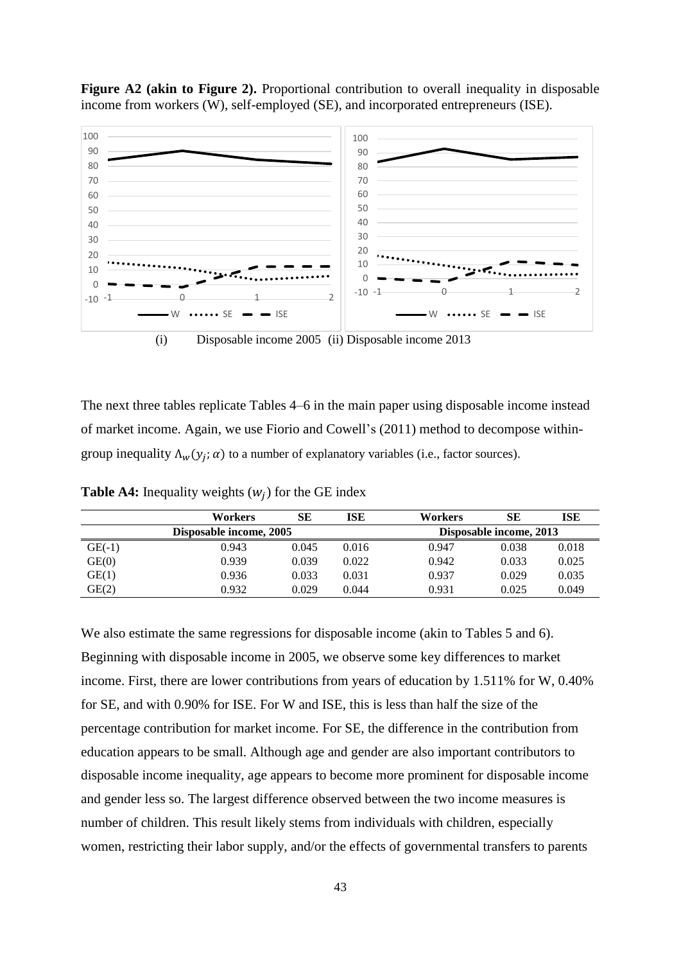

**Figure A2 (akin to Figure 2).** Proportional contribution to overall inequality in disposable income from workers (W), self-employed (SE), and incorporated entrepreneurs (ISE).

(i) Disposable income 2005 (ii) Disposable income 2013

The next three tables replicate Tables 4–6 in the main paper using disposable income instead of market income. Again, we use Fiorio and Cowell's (2011) method to decompose withingroup inequality  $\Lambda_w(y_j; \alpha)$  to a number of explanatory variables (i.e., factor sources).

|          | Workers                 | SЕ    | ISE                     | <b>Workers</b> | SЕ    | <b>ISE</b> |
|----------|-------------------------|-------|-------------------------|----------------|-------|------------|
|          | Disposable income, 2005 |       | Disposable income, 2013 |                |       |            |
| $GE(-1)$ | 0.943                   | 0.045 | 0.016                   | 0.947          | 0.038 | 0.018      |
| GE(0)    | 0.939                   | 0.039 | 0.022                   | 0.942          | 0.033 | 0.025      |
| GE(1)    | 0.936                   | 0.033 | 0.031                   | 0.937          | 0.029 | 0.035      |
| GE(2)    | 0.932                   | 0.029 | 0.044                   | 0.931          | 0.025 | 0.049      |

**Table A4:** Inequality weights  $(w_j)$  for the GE index

We also estimate the same regressions for disposable income (akin to Tables 5 and 6). Beginning with disposable income in 2005, we observe some key differences to market income. First, there are lower contributions from years of education by 1.511% for W, 0.40% for SE, and with 0.90% for ISE. For W and ISE, this is less than half the size of the percentage contribution for market income. For SE, the difference in the contribution from education appears to be small. Although age and gender are also important contributors to disposable income inequality, age appears to become more prominent for disposable income and gender less so. The largest difference observed between the two income measures is number of children. This result likely stems from individuals with children, especially women, restricting their labor supply, and/or the effects of governmental transfers to parents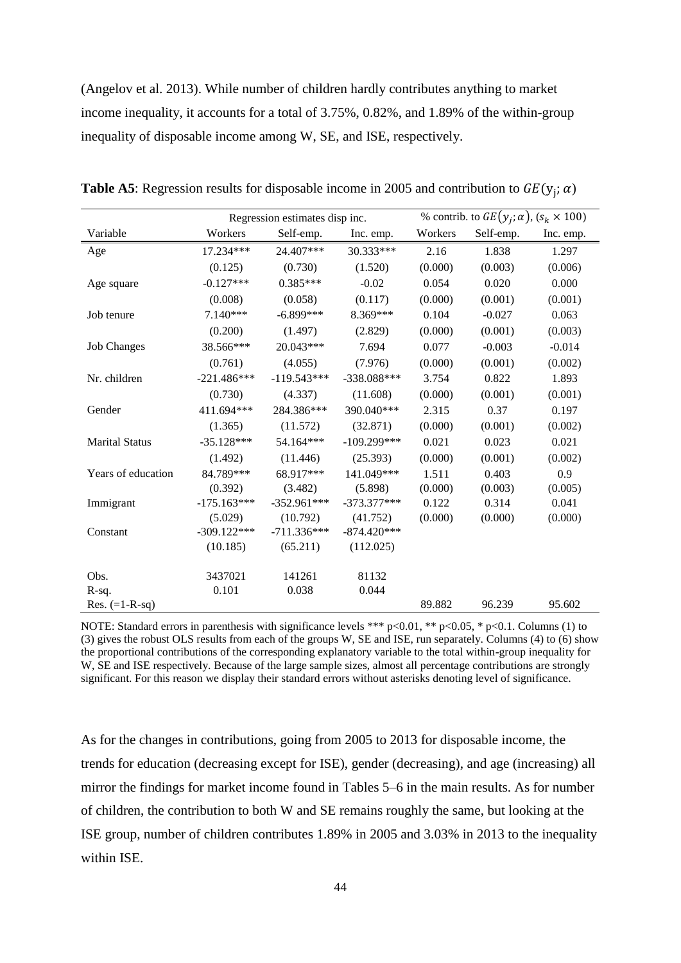(Angelov et al. 2013). While number of children hardly contributes anything to market income inequality, it accounts for a total of 3.75%, 0.82%, and 1.89% of the within-group inequality of disposable income among W, SE, and ISE, respectively.

|                       |               | Regression estimates disp inc. |               |         | % contrib. to $GE(y_i; \alpha)$ , $(s_k \times 100)$ |           |
|-----------------------|---------------|--------------------------------|---------------|---------|------------------------------------------------------|-----------|
| Variable              | Workers       | Self-emp.                      | Inc. emp.     | Workers | Self-emp.                                            | Inc. emp. |
| Age                   | 17.234***     | 24.407***                      | 30.333***     | 2.16    | 1.838                                                | 1.297     |
|                       | (0.125)       | (0.730)                        | (1.520)       | (0.000) | (0.003)                                              | (0.006)   |
| Age square            | $-0.127***$   | $0.385***$                     | $-0.02$       | 0.054   | 0.020                                                | 0.000     |
|                       | (0.008)       | (0.058)                        | (0.117)       | (0.000) | (0.001)                                              | (0.001)   |
| Job tenure            | 7.140***      | $-6.899***$                    | 8.369***      | 0.104   | $-0.027$                                             | 0.063     |
|                       | (0.200)       | (1.497)                        | (2.829)       | (0.000) | (0.001)                                              | (0.003)   |
| <b>Job Changes</b>    | 38.566***     | 20.043***                      | 7.694         | 0.077   | $-0.003$                                             | $-0.014$  |
|                       | (0.761)       | (4.055)                        | (7.976)       | (0.000) | (0.001)                                              | (0.002)   |
| Nr. children          | $-221.486***$ | $-119.543***$                  | $-338.088***$ | 3.754   | 0.822                                                | 1.893     |
|                       | (0.730)       | (4.337)                        | (11.608)      | (0.000) | (0.001)                                              | (0.001)   |
| Gender                | 411.694***    | 284.386***                     | 390.040***    | 2.315   | 0.37                                                 | 0.197     |
|                       | (1.365)       | (11.572)                       | (32.871)      | (0.000) | (0.001)                                              | (0.002)   |
| <b>Marital Status</b> | $-35.128***$  | 54.164***                      | $-109.299***$ | 0.021   | 0.023                                                | 0.021     |
|                       | (1.492)       | (11.446)                       | (25.393)      | (0.000) | (0.001)                                              | (0.002)   |
| Years of education    | 84.789***     | 68.917***                      | 141.049***    | 1.511   | 0.403                                                | 0.9       |
|                       | (0.392)       | (3.482)                        | (5.898)       | (0.000) | (0.003)                                              | (0.005)   |
| Immigrant             | $-175.163***$ | $-352.961***$                  | $-373.377***$ | 0.122   | 0.314                                                | 0.041     |
|                       | (5.029)       | (10.792)                       | (41.752)      | (0.000) | (0.000)                                              | (0.000)   |
| Constant              | $-309.122***$ | $-711.336***$                  | $-874.420***$ |         |                                                      |           |
|                       | (10.185)      | (65.211)                       | (112.025)     |         |                                                      |           |
|                       |               |                                |               |         |                                                      |           |
| Obs.                  | 3437021       | 141261                         | 81132         |         |                                                      |           |
| R-sq.                 | 0.101         | 0.038                          | 0.044         |         |                                                      |           |
| Res. $(=1-R-sq)$      |               |                                |               | 89.882  | 96.239                                               | 95.602    |

**Table A5**: Regression results for disposable income in 2005 and contribution to  $GE(y_j; \alpha)$ 

NOTE: Standard errors in parenthesis with significance levels \*\*\* p<0.01, \*\* p<0.05, \* p<0.1. Columns (1) to (3) gives the robust OLS results from each of the groups W, SE and ISE, run separately. Columns (4) to (6) show the proportional contributions of the corresponding explanatory variable to the total within-group inequality for W, SE and ISE respectively. Because of the large sample sizes, almost all percentage contributions are strongly significant. For this reason we display their standard errors without asterisks denoting level of significance.

As for the changes in contributions, going from 2005 to 2013 for disposable income, the trends for education (decreasing except for ISE), gender (decreasing), and age (increasing) all mirror the findings for market income found in Tables 5–6 in the main results. As for number of children, the contribution to both W and SE remains roughly the same, but looking at the ISE group, number of children contributes 1.89% in 2005 and 3.03% in 2013 to the inequality within ISE.